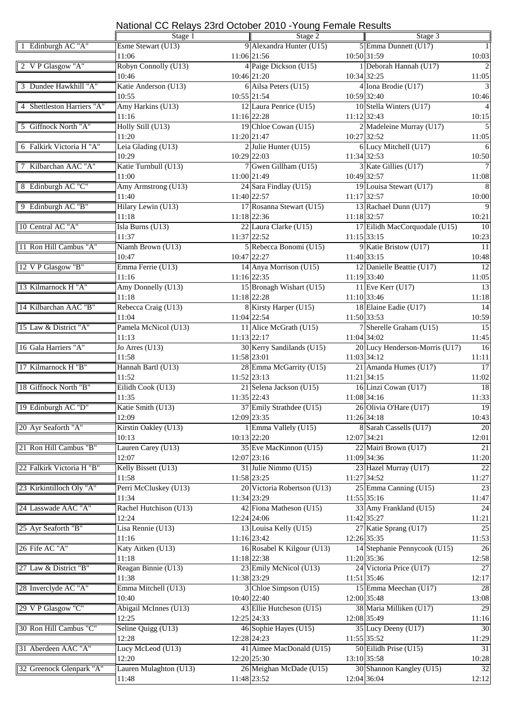### National CC Relays 23rd October 2010 -Young Female Results

|                            | Stage 1                |               | Stage 2                     |               | Stage 3                        |                          |  |
|----------------------------|------------------------|---------------|-----------------------------|---------------|--------------------------------|--------------------------|--|
| 1 Edinburgh AC "A"         | Esme Stewart (U13)     |               | 9 Alexandra Hunter (U15)    |               | 5 Emma Dunnett (U17)           | 1                        |  |
|                            | 11:06                  |               | 11:06 21:56                 | 10:50 31:59   |                                | 10:03                    |  |
| 2 V P Glasgow "A"          | Robyn Connolly (U13)   |               | 4 Paige Dickson (U15)       |               | 1 Deborah Hannah (U17)         | $\overline{\mathcal{L}}$ |  |
|                            | 10:46                  |               | 10:46 21:20                 | 10:34 32:25   |                                | 11:05                    |  |
| 3 Dundee Hawkhill "A"      | Katie Anderson (U13)   |               | 6 Ailsa Peters (U15)        |               | 4 Iona Brodie (U17)            | 3                        |  |
|                            | 10:55                  |               | 10:55 21:54                 | 10:59 32:40   |                                | 10:46                    |  |
| 4 Shettleston Harriers "A" | Amy Harkins (U13)      |               | 12 Laura Penrice (U15)      |               | 10 Stella Winters (U17)        | $\overline{4}$           |  |
|                            | 11:16                  |               | 11:16 22:28                 | $11:12$ 32:43 |                                | 10:15                    |  |
|                            |                        |               |                             |               |                                | $\overline{5}$           |  |
| 5 Giffnock North "A"       | Holly Still (U13)      |               | 19 Chloe Cowan (U15)        |               | 2 Madeleine Murray (U17)       |                          |  |
|                            | 11:20                  | 11:20 21:47   |                             | 10:27 32:52   |                                | 11:05                    |  |
| 6 Falkirk Victoria H "A"   | Leia Glading (U13)     |               | $2$ Julie Hunter (U15)      |               | 6 Lucy Mitchell (U17)          | 6                        |  |
|                            | 10:29                  |               | 10:29 22:03                 | 11:34 32:53   |                                | 10:50                    |  |
| 7 Kilbarchan AAC "A"       | Katie Turnbull (U13)   |               | 7 Gwen Gillham (U15)        |               | 3 Kate Gillies (U17)           | 7                        |  |
|                            | 11:00                  |               | 11:00 21:49                 | 10:49 32:57   |                                | 11:08                    |  |
| 8 Edinburgh AC "C"         | Amy Armstrong (U13)    |               | 24 Sara Findlay (U15)       |               | 19 Louisa Stewart (U17)        | 8                        |  |
|                            | 11:40                  |               | 11:40 22:57                 | 11:17 32:57   |                                | 10:00                    |  |
| 9 Edinburgh AC "B"         | Hilary Lewin (U13)     |               | 17 Rosanna Stewart (U15)    |               | 13 Rachael Dunn (U17)          | $\overline{9}$           |  |
|                            | 11:18                  |               | 11:18 22:36                 | 11:18 32:57   |                                | 10:21                    |  |
| 10 Central AC "A"          | Isla Burns (U13)       |               | 22 Laura Clarke (U15)       |               | 17 Eilidh MacCorquodale (U15)  | 10                       |  |
|                            | 11:37                  |               | 11:37 22:52                 | 11:15 33:15   |                                | 10:23                    |  |
|                            | Niamh Brown (U13)      |               |                             |               |                                |                          |  |
| 11 Ron Hill Cambus "A"     |                        |               | 5 Rebecca Bonomi (U15)      |               | 9 Katie Bristow (U17)          | 11                       |  |
|                            | 10:47                  |               | 10:47 22:27                 | 11:40 33:15   |                                | 10:48                    |  |
| 12 V P Glasgow "B"         | Emma Ferrie (U13)      |               | 14 Anya Morrison (U15)      |               | 12 Danielle Beattie (U17)      | 12                       |  |
|                            | 11:16                  |               | 11:16 22:35                 | 11:19 33:40   |                                | 11:05                    |  |
| 13 Kilmarnock H "A"        | Amy Donnelly (U13)     |               | 15 Bronagh Wishart (U15)    |               | 11 Eve Kerr (U17)              | 13                       |  |
|                            | 11:18                  |               | 11:18 22:28                 | 11:10 33:46   |                                | 11:18                    |  |
| 14 Kilbarchan AAC "B"      | Rebecca Craig (U13)    |               | 8 Kirsty Harper (U15)       |               | 18 Elaine Eadie (U17)          | 14                       |  |
|                            | 11:04                  |               | 11:04 22:54                 | 11:50 33:53   |                                | 10:59                    |  |
| 15 Law & District "A"      | Pamela McNicol (U13)   |               | 11 Alice McGrath (U15)      |               | 7 Sherelle Graham (U15)        | $\overline{15}$          |  |
|                            | 11:13                  | $11:13$ 22:17 |                             | 11:04 34:02   |                                | 11:45                    |  |
| 16 Gala Harriers "A"       | Jo Arres (U13)         |               | 30 Kerry Sandilands (U15)   |               | 20 Lucy Henderson-Morris (U17) | 16                       |  |
|                            | 11:58                  |               |                             |               |                                |                          |  |
| 17 Kilmarnock H "B"        |                        | 11:58 23:01   |                             | 11:03 34:12   |                                | 11:11                    |  |
|                            | Hannah Bartl (U13)     |               | 28 Emma McGarrity (U15)     |               | 21 Amanda Humes (U17)          | 17                       |  |
|                            | 11:52                  |               | 11:52 23:13                 | 11:21 34:15   |                                | 11:02                    |  |
| 18 Giffnock North "B"      | Eilidh Cook (U13)      |               | 21 Selena Jackson (U15)     |               | 16 Linzi Cowan (U17)           | 18                       |  |
|                            | 11:35                  | 11:35 22:43   |                             | 11:08 34:16   |                                | 11:33                    |  |
| 19 Edinburgh AC "D"        | Katie Smith (U13)      |               | 37 Emily Strathdee (U15)    |               | 26 Olivia O'Hare (U17)         | 19                       |  |
|                            | 12:09                  |               | 12:09 23:35                 | 11:26 34:18   |                                | 10:43                    |  |
| 20 Ayr Seaforth "A"        | Kirstin Oakley (U13)   |               | 1 Emma Vallely (U15)        |               | 8 Sarah Cassells (U17)         | <b>20</b>                |  |
|                            | 10:13                  |               | 10:13 22:20                 | 12:07 34:21   |                                | 12:01                    |  |
| 21 Ron Hill Cambus "B"     | Lauren Carey (U13)     |               | 35 Eve MacKinnon (U15)      |               | 22 Mairi Brown (U17)           | 21                       |  |
|                            | 12:07                  |               | 12:07 23:16                 | 11:09 34:36   |                                | 11:20                    |  |
| 22 Falkirk Victoria H "B"  | Kelly Bissett (U13)    |               | 31 Julie Nimmo (U15)        |               | 23 Hazel Murray (U17)          | 22                       |  |
|                            | 11:58                  |               | 11:58 23:25                 | 11:27 34:52   |                                | 11:27                    |  |
|                            | Perri McCluskey (U13)  |               | 20 Victoria Robertson (U13) |               |                                | 23                       |  |
| 23 Kirkintilloch Oly "A"   |                        |               |                             |               | 25 Emma Canning (U15)          |                          |  |
|                            | 11:34                  |               | 11:34 23:29                 | $11:55$ 35:16 |                                | 11:47                    |  |
| 24 Lasswade AAC "A"        | Rachel Hutchison (U13) |               | 42 Fiona Matheson (U15)     |               | 33 Amy Frankland (U15)         | 24                       |  |
|                            | 12:24                  |               | $12:24$ 24:06               | 11:42 35:27   |                                | 11:21                    |  |
| 25 Ayr Seaforth "B"        | Lisa Rennie (U13)      |               | 13 Louisa Kelly (U15)       |               | 27 Katie Sprang (U17)          | 25                       |  |
|                            | 11:16                  |               | $11:16$ 23:42               | 12:26 35:35   |                                | 11:53                    |  |
| 26 Fife AC "A"             | Katy Aitken (U13)      |               | 16 Rosabel K Kilgour (U13)  |               | 14 Stephanie Pennycook (U15)   | 26                       |  |
|                            | 11:18                  |               | 11:18 22:38                 | 11:20 35:36   |                                | 12:58                    |  |
| 27 Law & District "B"      | Reagan Binnie (U13)    |               | 23 Emily McNicol (U13)      |               | 24 Victoria Price (U17)        | 27                       |  |
|                            | 11:38                  |               | 11:38 23:29                 | 11:51 35:46   |                                | 12:17                    |  |
| 28 Inverclyde AC "A"       | Emma Mitchell (U13)    |               | 3 Chloe Simpson (U15)       |               | 15 Emma Meechan (U17)          | 28                       |  |
|                            | 10:40                  |               | 10:40 22:40                 | 12:00 35:48   |                                | 13:08                    |  |
| 29 V P Glasgow "C"         |                        |               | 43 Ellie Hutcheson (U15)    |               | 38 Maria Milliken (U17)        | 29                       |  |
|                            | Abigail McInnes (U13)  |               |                             |               |                                |                          |  |
|                            | 12:25                  |               | 12:25 24:33                 | 12:08 35:49   |                                | 11:16                    |  |
| 30 Ron Hill Cambus "C"     | Seline Quigg (U13)     |               | 46 Sophie Hayes (U15)       |               | 35 Lucy Deeny (U17)            | 30                       |  |
|                            | 12:28                  |               | 12:28 24:23                 | 11:55 35:52   |                                | 11:29                    |  |
| 31 Aberdeen AAC "A"        | Lucy McLeod (U13)      |               | 41 Aimee MacDonald (U15)    |               | 50 Eilidh Prise (U15)          | 31                       |  |
|                            | 12:20                  |               | 12:20 25:30                 | 13:10 35:58   |                                | 10:28                    |  |
| 32 Greenock Glenpark "A"   | Lauren Mulaghton (U13) |               | 26 Meighan McDade (U15)     |               | 30 Shannon Kangley (U15)       | 32                       |  |
|                            | 11:48                  |               | 11:48 23:52                 | 12:04 36:04   |                                | 12:12                    |  |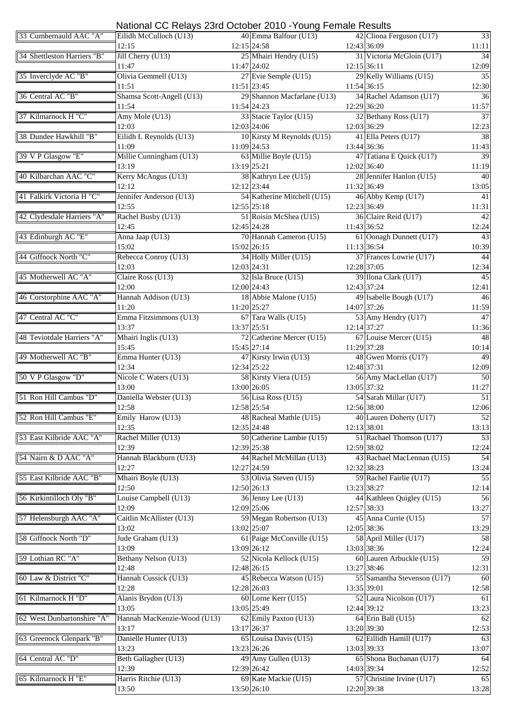|                             | National CC Relays 23rd October 2010 - Young Female Results |                                         |                                          |                 |
|-----------------------------|-------------------------------------------------------------|-----------------------------------------|------------------------------------------|-----------------|
| 33 Cumbernauld AAC "A"      | Eilidh McCulloch (U13)                                      | 40 Emma Balfour (U13)                   | 42 Cliona Ferguson (U17)                 | $\overline{33}$ |
|                             | 12:15                                                       | $12:15$ 24:58                           | 12:43 36:09                              | 11:11           |
| 34 Shettleston Harriers "B" | Jill Cherry (U13)                                           | 25 Mhairi Hendry (U15)                  | 31 Victoria McGloin (U17)                | 34              |
| 35 Inverclyde AC "B"        | 11:47<br>Olivia Gemmell (U13)                               | 11:47 24:02<br>27 Evie Semple (U15)     | 12:15 36:11<br>29 Kelly Williams (U15)   | 12:09<br>35     |
|                             | 11:51                                                       | 11:51 23:45                             | 11:54 36:15                              | 12:30           |
| 36 Central AC "B"           | Shamsa Scott-Angell (U13)                                   | 29 Shannon Macfarlane (U13)             | 34 Rachel Adamson (U17)                  | 36              |
|                             | 11:54                                                       | 11:54 24:23                             | 12:29 36:20                              | 11:57           |
| 37 Kilmarnock H "C"         | Amy Mole (U13)                                              | 33 Stacie Taylor (U15)                  | 32 Bethany Ross (U17)                    | $\overline{37}$ |
|                             | 12:03                                                       | 12:03 24:06                             | 12:03 36:29                              | 12:23           |
| 38 Dundee Hawkhill "B"      | Eilidh L Reynolds (U13)                                     | 10 Kirsty M Reynolds (U15)              | 41 Ella Peters (U17)                     | 38              |
|                             | 11:09                                                       | 11:09 24:53                             | 13:44 36:36                              | 11:43           |
| 39 V P Glasgow "E"          | Millie Cunningham (U13)                                     | 63 Millie Boyle (U15)                   | 47 Tatiana E Quick (U17)                 | 39              |
|                             | 13:19                                                       | 13:19 25:21                             | 12:02 36:40                              | 11:19           |
| 40 Kilbarchan AAC "C"       | Kerry McAngus (U13)                                         | 38 Kathryn Lee (U15)                    | 28 Jennifer Hanlon (U15)                 | 40              |
|                             | 12:12                                                       | 12:12 23:44                             | 11:32 36:49                              | 13:05           |
| 41 Falkirk Victoria H "C"   | Jennifer Anderson (U13)<br>12:55                            | 54 Katherine Mitchell (U15)             | 46 Abby Kemp (U17)                       | 41              |
| 42 Clydesdale Harriers "A"  | Rachel Busby (U13)                                          | $12:55$ 25:18<br>51 Roisin McShea (U15) | 12:23 36:49<br>36 Claire Reid (U17)      | 11:31<br>42     |
|                             | 12:45                                                       | 12:45 24:28                             | 11:43 36:52                              | 12:24           |
| 43 Edinburgh AC "E"         | Anna Jaap (U13)                                             | 70 Hannah Cameron (U15)                 | 61 Oonagh Dunnett (U17)                  | 43              |
|                             | 15:02                                                       | 15:02 26:15                             | 11:13 36:54                              | 10:39           |
| 44 Giffnock North "C"       | Rebecca Conroy (U13)                                        | 34 Holly Miller (U15)                   | 37 Frances Lowrie (U17)                  | 44              |
|                             | 12:03                                                       | 12:03 24:31                             | 12:28 37:05                              | 12:34           |
| 45 Motherwell AC "A"        | Claire Ross (U13)                                           | $32$ Isla Bruce (U15)                   | 39 Ilona Clark (U17)                     | 45              |
|                             | 12:00                                                       | 12:00 24:43                             | 12:43 37:24                              | 12:41           |
| 46 Corstorphine AAC "A"     | Hannah Addison (U13)                                        | 18 Abbie Malone (U15)                   | 49 Isabelle Bough (U17)                  | 46              |
|                             | 11:20                                                       | 11:20 25:27                             | 14:07 37:26                              | 11:59           |
| 47 Central AC "C"           | Emma Fitzsimmons (U13)                                      | 67 Tara Walls (U15)                     | 53 Amy Hendry (U17)                      | 47              |
|                             | 13:37                                                       | 13:37 25:51                             | 12:14 37:27                              | 11:36           |
| 48 Teviotdale Harriers "A"  | Mhairi Inglis (U13)                                         | 72 Catherine Mercer (U15)               | 67 Louise Mercer (U15)                   | 48              |
| 49 Motherwell AC "B"        | 15:45                                                       | 15:45 27:14                             | 11:29 37:28                              | 10:14<br>49     |
|                             | Emma Hunter (U13)<br>12:34                                  | 47 Kirsty Irwin (U13)<br>12:34 25:22    | 48 Gwen Morris (U17)<br>12:48 37:31      | 12:09           |
| 50 V P Glasgow "D"          | Nicole C Waters (U13)                                       | 58 Kirsty Viera (U15)                   | 56 Amy MacLellan (U17)                   | 50              |
|                             | 13:00                                                       | 13:00 26:05                             | 13:05 37:32                              | 11:27           |
| 51 Ron Hill Cambus "D"      | Daniella Webster (U13)                                      | 56 Lisa Ross (U15)                      | 54 Sarah Millar (U17)                    | 51              |
|                             | 12:58                                                       | 12:58 25:54                             | 12:56 38:00                              | 12:06           |
| 52 Ron Hill Cambus "E"      | Emily Harow (U13)                                           | 48 Racheal Mathle (U15)                 | 40 Lauren Doherty (U17)                  | 52              |
|                             | 12:35                                                       | 12:35 24:48                             | 12:13 38:01                              | 13:13           |
| 53 East Kilbride AAC "A"    | Rachel Miller (U13)                                         | 50 Catherine Lambie (U15)               | 51 Rachael Thomson (U17)                 | 53              |
|                             | 12:39                                                       | 12:39 25:38                             | 12:59 38:02                              | 12:24           |
| 54 Nairn & D AAC "A"        | Hannah Blackburn (U13)                                      | 44 Rachel McMillan (U13)                | 43 Rachael MacLennan (U15)               | 54              |
|                             | 12:27                                                       | 12:27 24:59                             | 12:32 38:23                              | 13:24           |
| 55 East Kilbride AAC "B"    | Mhairi Boyle (U13)                                          | 53 Olivia Steven (U15)                  | 59 Rachel Fairlie (U17)                  | $\overline{55}$ |
| 56 Kirkintilloch Oly "B"    | 12:50<br>Louise Campbell (U13)                              | 12:50 26:13<br>36 Jenny Lee (U13)       | 13:23 38:27<br>44 Kathleen Quigley (U15) | 12:14           |
|                             | 12:09                                                       | 12:09 25:06                             | 12:57 38:33                              | 56<br>13:27     |
| 57 Helensburgh AAC "A"      | Caitlin McAllister (U13)                                    | 59 Megan Robertson (U13)                | 45 Anna Currie (U15)                     | 57              |
|                             | 13:02                                                       | 13:02 25:07                             | 12:05 38:36                              | 13:29           |
| 58 Giffnock North "D"       | Jude Graham (U13)                                           | 61 Paige McConville (U15)               | 58 April Miller (U17)                    | 58              |
|                             | 13:09                                                       | 13:09 26:12                             | 13:03 38:36                              | 12:24           |
| 59 Lothian RC "A"           | Bethany Nelson (U13)                                        | 52 Nicola Kellock (U15)                 | 60 Lauren Arbuckle (U15)                 | 59              |
|                             | 12:48                                                       | 12:48 26:15                             | 13:27 38:46                              | 12:31           |
| 60 Law & District "C"       | Hannah Cussick (U13)                                        | 45 Rebecca Watson (U15)                 | 55 Samantha Stevenson (U17)              | 60              |
|                             | 12:28                                                       | 12:28 26:03                             | 13:35 39:01                              | 12:58           |
| 61 Kilmarnock H "D"         | Alanis Brydon (U13)                                         | 60 Lorne Kerr (U15)                     | 52 Laura Nicolson (U17)                  | 61              |
|                             | 13:05                                                       | 13:05 25:49                             | 12:44 39:12                              | 13:23           |
| 62 West Dunbartonshire "A"  | Hannah MacKenzie-Wood (U13)                                 | 62 Emily Paxton (U13)                   | 64 Erin Ball (U15)                       | 62              |
|                             | 13:17                                                       | 13:17 26:37                             | 13:20 39:30                              | 12:53           |
| 63 Greenock Glenpark "B"    | Danielle Hunter (U13)<br>13:23                              | 65 Louisa Davis (U15)<br>13:23 26:26    | 62 Eillidh Hamill (U17)<br>13:03 39:33   | 63<br>13:07     |
| 64 Central AC "D"           | Beth Gallagher (U13)                                        | 49 Amy Gullen (U13)                     | 65 Shona Buchanan (U17)                  | 64              |
|                             | 12:39                                                       | 12:39 26:42                             | 14:03 39:34                              | 12:52           |
| 65 Kilmarnock H "E"         | Harris Ritchie (U13)                                        | 69 Kate Mackie (U15)                    | 57 Christine Irvine (U17)                | 65              |
|                             | 13:50                                                       | 13:50 26:10                             | 12:20 39:38                              | 13:28           |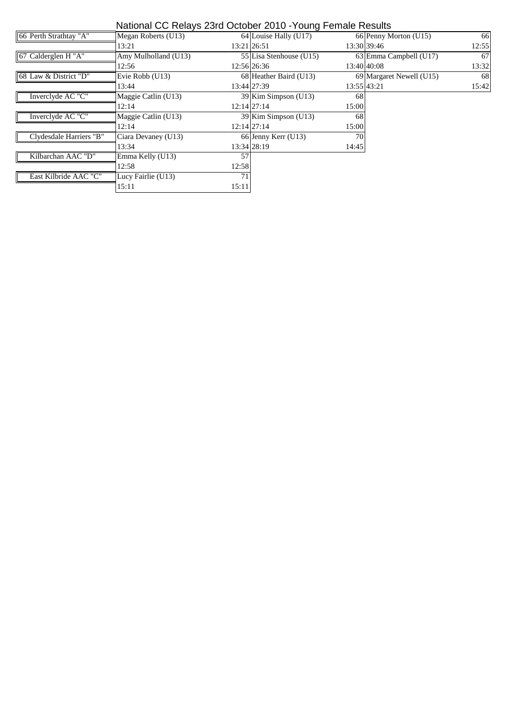#### National CC Relays 23rd October 2010 -Young Female Results

| 66 Perth Strathtay "A"  | Megan Roberts (U13)  |       | 64 Louise Hally (U17)   |       | 66 Penny Morton (U15)    | 66            |
|-------------------------|----------------------|-------|-------------------------|-------|--------------------------|---------------|
|                         | 13:21                |       | 13:21 26:51             |       | 13:30 39:46              | 12:55         |
| 67 Calderglen H "A"     | Amy Mulholland (U13) |       | 55 Lisa Stenhouse (U15) |       | 63 Emma Campbell (U17)   | 67            |
|                         | 12:56                |       | 12:56 26:36             |       | 13:40 40:08              | 13:32         |
| 68 Law & District "D"   | Evie Robb (U13)      |       | 68 Heather Baird (U13)  |       | 69 Margaret Newell (U15) | <sup>68</sup> |
|                         | 13:44                |       | 13:44 27:39             |       | 13:55 43:21              | 15:42         |
| Inverclyde AC "C"       | Maggie Catlin (U13)  |       | 39 Kim Simpson (U13)    | 68    |                          |               |
|                         | 12:14                |       | $12:14$ 27:14           | 15:00 |                          |               |
| Inverclyde AC "C"       | Maggie Catlin (U13)  |       | 39 Kim Simpson (U13)    | 68    |                          |               |
|                         | 12:14                |       | $12:14$ 27:14           | 15:00 |                          |               |
| Clydesdale Harriers "B" | Ciara Devaney (U13)  |       | 66 Jenny Kerr (U13)     | 70    |                          |               |
|                         | 13:34                |       | 13:34 28:19             | 14:45 |                          |               |
| Kilbarchan AAC "D"      | Emma Kelly (U13)     | 57    |                         |       |                          |               |
|                         | 12:58                | 12:58 |                         |       |                          |               |
| East Kilbride AAC "C"   | Lucy Fairlie (U13)   | 71    |                         |       |                          |               |
|                         | 15:11                | 15:11 |                         |       |                          |               |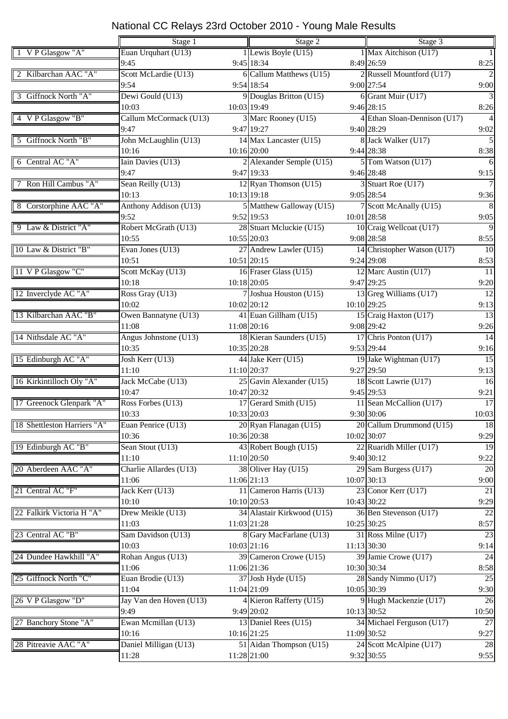|                             | Stage 1                 |             | Stage 2                    |             | Stage 3                      |                 |  |
|-----------------------------|-------------------------|-------------|----------------------------|-------------|------------------------------|-----------------|--|
| 1 V P Glasgow "A"           | Euan Urquhart (U13)     |             | 1 Lewis Boyle (U15)        |             | 1 Max Aitchison (U17)        | -1              |  |
|                             | 9:45                    |             | 9:45 18:34                 |             | 8:49 26:59                   | 8:25            |  |
| 2 Kilbarchan AAC "A"        | Scott McLardie (U13)    |             | 6 Callum Matthews (U15)    |             | 2 Russell Mountford (U17)    | $\overline{2}$  |  |
|                             | 9:54                    |             | 9:54 18:54                 |             | 9:00 27:54                   | 9:00            |  |
| 3 Giffnock North "A"        | Dewi Gould (U13)        |             | 9 Douglas Britton (U15)    |             | 6 Grant Muir (U17)           | $\overline{3}$  |  |
|                             | 10:03                   | 10:03 19:49 |                            |             | 9:46 28:15                   | 8:26            |  |
| 4 V P Glasgow "B"           | Callum McCormack (U13)  |             | 3 Marc Rooney (U15)        |             | 4 Ethan Sloan-Dennison (U17) | $\overline{4}$  |  |
|                             | 9:47                    |             | 9:47 19:27                 |             | 9:40 28:29                   | 9:02            |  |
| 5 Giffnock North "B"        | John McLaughlin (U13)   |             | 14 Max Lancaster (U15)     |             | 8 Jack Walker (U17)          | $\overline{5}$  |  |
|                             | 10:16                   | 10:16 20:00 |                            |             | 9:44 28:38                   | 8:38            |  |
| 6 Central AC "A"            | Iain Davies (U13)       |             | 2 Alexander Semple (U15)   |             | 5 Tom Watson (U17)           | 6               |  |
|                             | 9:47                    |             | 9:47 19:33                 |             | 9:46 28:48                   | 9:15            |  |
| 7 Ron Hill Cambus "A"       | Sean Reilly (U13)       |             | 12 Ryan Thomson (U15)      |             | 3 Stuart Roe (U17)           | $\overline{7}$  |  |
|                             | 10:13                   | 10:13 19:18 |                            |             | 9:05 28:54                   | 9:36            |  |
| 8 Corstorphine AAC "A"      | Anthony Addison (U13)   |             | 5 Matthew Galloway (U15)   |             | 7 Scott McAnally (U15)       | 8               |  |
|                             | 9:52                    |             | 9:52 19:53                 |             | 10:01 28:58                  | 9:05            |  |
| 9 Law & District "A"        | Robert McGrath (U13)    |             | 28 Stuart Mcluckie (U15)   |             | 10 Craig Wellcoat (U17)      | $\overline{9}$  |  |
|                             | 10:55                   | 10:55 20:03 |                            |             | 9:08 28:58                   | 8:55            |  |
| 10 Law & District "B"       | Evan Jones (U13)        |             | 27 Andrew Lawler (U15)     |             | 14 Christopher Watson (U17)  | 10              |  |
|                             | 10:51                   | 10:51 20:15 |                            |             | $9:24$ 29:08                 | 8:53            |  |
| 11 V P Glasgow "C"          | Scott McKay (U13)       |             | 16 Fraser Glass (U15)      |             | 12 Marc Austin (U17)         | 11              |  |
|                             | 10:18                   | 10:18 20:05 |                            |             | 9:47 29:25                   | 9:20            |  |
| 12 Inverclyde AC "A"        | Ross Gray (U13)         |             | 7 Joshua Houston (U15)     |             | 13 Greg Williams (U17)       | 12              |  |
|                             | 10:02                   | 10:02 20:12 |                            | 10:10 29:25 |                              | 9:13            |  |
| 13 Kilbarchan AAC "B"       | Owen Bannatyne (U13)    |             | 41 Euan Gillham (U15)      |             | 15 Craig Haxton (U17)        | 13              |  |
|                             | 11:08                   |             | 11:08 20:16                |             | 9:08 29:42                   | 9:26            |  |
| 14 Nithsdale AC "A"         | Angus Johnstone (U13)   |             | 18 Kieran Saunders (U15)   |             | 17 Chris Ponton (U17)        | 14              |  |
|                             | 10:35                   | 10:35 20:28 |                            |             | 9:53 29:44                   | 9:16            |  |
| 15 Edinburgh AC "A"         | Josh Kerr (U13)         |             | 44 Jake Kerr (U15)         |             | 19 Jake Wightman (U17)       | $\overline{15}$ |  |
|                             | 11:10                   | 11:10 20:37 |                            |             | 9:27 29:50                   | 9:13            |  |
| 16 Kirkintilloch Oly "A"    | Jack McCabe (U13)       |             | $25$ Gavin Alexander (U15) |             | 18 Scott Lawrie (U17)        | 16              |  |
|                             | 10:47                   | 10:47 20:32 |                            |             | 9:45 29:53                   | 9:21            |  |
| 17 Greenock Glenpark "A"    | Ross Forbes (U13)       |             | 17 Gerard Smith (U15)      |             | 11 Sean McCallion (U17)      | 17              |  |
|                             | 10:33                   | 10:33 20:03 |                            |             | 9:30 30:06                   | 10:03           |  |
| 18 Shettleston Harriers "A" | Euan Penrice (U13)      |             | 20 Ryan Flanagan (U15)     |             | 20 Callum Drummond (U15)     | 18              |  |
|                             | 10:36                   |             | 10:36 20:38                |             | 10:02 30:07                  | 9:29            |  |
| 19 Edinburgh AC "B"         | Sean Stout (U13)        |             | 43 Robert Bough (U15)      |             | 22 Ruaridh Miller (U17)      | 19              |  |
|                             | 11:10                   |             | 11:10 20:50                |             | 9:40 30:12                   | 9:22            |  |
| 20 Aberdeen AAC "A"         | Charlie Allardes (U13)  |             | 38 Oliver Hay (U15)        |             | 29 Sam Burgess (U17)         | 20              |  |
|                             | 11:06                   | 11:06 21:13 |                            |             | 10:07 30:13                  | 9:00            |  |
| 21 Central AC "F"           | Jack Kerr (U13)         |             | 11 Cameron Harris (U13)    |             | 23 Conor Kerr (U17)          | 21              |  |
|                             | 10:10                   | 10:10 20:53 |                            |             | 10:43 30:22                  | 9:29            |  |
| 22 Falkirk Victoria H "A"   | Drew Meikle (U13)       |             | 34 Alastair Kirkwood (U15) |             | 36 Ben Stevenson (U17)       | $\overline{22}$ |  |
|                             | 11:03                   | 11:03 21:28 |                            |             | 10:25 30:25                  | 8:57            |  |
| 23 Central AC "B"           | Sam Davidson (U13)      |             | 8 Gary MacFarlane (U13)    |             | 31 Ross Milne (U17)          | $\overline{23}$ |  |
|                             | 10:03                   | 10:03 21:16 |                            |             | 11:13 30:30                  | 9:14            |  |
| 24 Dundee Hawkhill "A"      | Rohan Angus (U13)       |             | 39 Cameron Crowe (U15)     |             | 39 Jamie Crowe (U17)         | 24              |  |
|                             | 11:06                   |             | 11:06 21:36                |             | 10:30 30:34                  | 8:58            |  |
| 25 Giffnock North "C"       | Euan Brodie (U13)       |             | 37 Josh Hyde (U15)         |             | 28 Sandy Nimmo (U17)         | 25              |  |
|                             | 11:04                   | 11:04 21:09 |                            |             | 10:05 30:39                  | 9:30            |  |
| 26 V P Glasgow "D"          | Jay Van den Hoven (U13) |             | 4 Kieron Rafferty (U15)    |             | 9 Hugh Mackenzie (U17)       | 26              |  |
|                             | 9:49                    |             | 9:49 20:02                 |             | 10:13 30:52                  | 10:50           |  |
| 27 Banchory Stone "A"       | Ewan Mcmillan (U13)     |             | 13 Daniel Rees (U15)       |             | 34 Michael Ferguson (U17)    | 27              |  |
|                             | 10:16                   | 10:16 21:25 |                            |             | 11:09 30:52                  | 9:27            |  |
| 28 Pitreavie AAC "A"        | Daniel Milligan (U13)   |             | 51 Aidan Thompson (U15)    |             | 24 Scott McAlpine (U17)      | 28              |  |
|                             | 11:28                   | 11:28 21:00 |                            |             | 9:32 30:55                   | 9:55            |  |
|                             |                         |             |                            |             |                              |                 |  |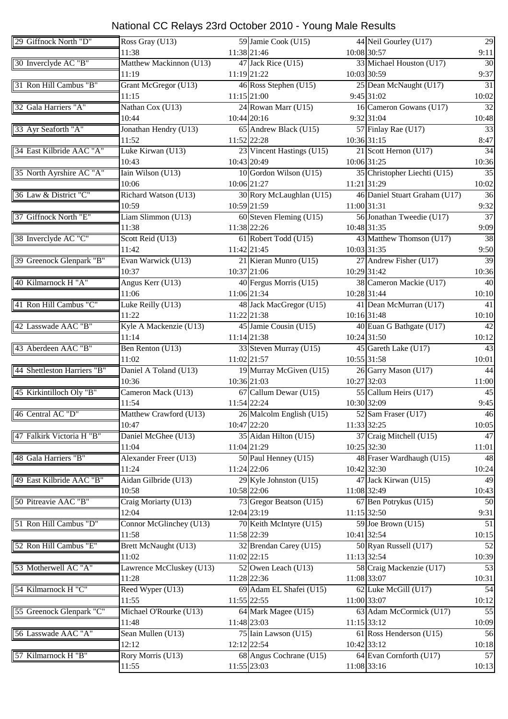| 29 Giffnock North "D"       |                                  |             |                           |                               | 29              |
|-----------------------------|----------------------------------|-------------|---------------------------|-------------------------------|-----------------|
|                             | Ross Gray (U13)                  |             | 59 Jamie Cook (U15)       | 44 Neil Gourley (U17)         |                 |
|                             | 11:38                            |             | 11:38 21:46               | 10:08 30:57                   | 9:11            |
| 30 Inverclyde AC "B"        | Matthew Mackinnon (U13)          |             | 47 Jack Rice (U15)        | 33 Michael Houston (U17)      | $\overline{30}$ |
|                             | 11:19                            |             | 11:19 21:22               | 10:03 30:59                   | 9:37            |
| 31 Ron Hill Cambus "B"      | Grant McGregor (U13)             |             | 46 Ross Stephen (U15)     | 25 Dean McNaught (U17)        | 31              |
|                             | 11:15                            |             | 11:15 21:00               | 9:45 31:02                    | 10:02           |
| 32 Gala Harriers "A"        | Nathan Cox (U13)                 |             | 24 Rowan Marr (U15)       | 16 Cameron Gowans (U17)       | 32              |
|                             | 10:44                            |             | 10:44 20:16               | 9:32 31:04                    | 10:48           |
| 33 Ayr Seaforth "A"         | Jonathan Hendry (U13)            |             | 65 Andrew Black (U15)     | 57 Finlay Rae (U17)           | 33              |
|                             | 11:52                            |             | 11:52 22:28               | 10:36 31:15                   | 8:47            |
| 34 East Kilbride AAC "A"    | Luke Kirwan (U13)                |             | 23 Vincent Hastings (U15) | 21 Scott Hernon (U17)         | 34              |
|                             |                                  |             |                           |                               |                 |
|                             | 10:43                            |             | 10:43 20:49               | 10:06 31:25                   | 10:36           |
| 35 North Ayrshire AC "A"    | Iain Wilson (U13)                |             | 10 Gordon Wilson (U15)    | 35 Christopher Liechti (U15)  | 35              |
|                             | 10:06                            | 10:06 21:27 |                           | 11:21 31:29                   | 10:02           |
| 36 Law & District "C"       | Richard Watson (U13)             |             | 30 Rory McLaughlan (U15)  | 46 Daniel Stuart Graham (U17) | 36              |
|                             | 10:59                            |             | 10:59 21:59               | 11:00 31:31                   | 9:32            |
| 37 Giffnock North "E"       | Liam Slimmon (U13)               |             | 60 Steven Fleming (U15)   | 56 Jonathan Tweedie (U17)     | $\overline{37}$ |
|                             | 11:38                            |             | 11:38 22:26               | 10:48 31:35                   | 9:09            |
| 38 Inverclyde AC "C"        | Scott Reid (U13)                 |             | 61 Robert Todd (U15)      | 43 Matthew Thomson (U17)      | 38              |
|                             | 11:42                            | 11:42 21:45 |                           | 10:03 31:35                   | 9:50            |
| 39 Greenock Glenpark "B"    | Evan Warwick (U13)               |             | 21 Kieran Munro (U15)     | 27 Andrew Fisher (U17)        | 39              |
|                             | 10:37                            |             | 10:37 21:06               | 10:29 31:42                   | 10:36           |
|                             |                                  |             |                           |                               |                 |
| 40 Kilmarnock H "A"         | Angus Kerr (U13)                 |             | 40 Fergus Morris (U15)    | 38 Cameron Mackie (U17)       | 40              |
|                             | 11:06                            |             | 11:06 21:34               | 10:28 31:44                   | 10:10           |
| 41 Ron Hill Cambus "C"      | Luke Reilly (U13)                |             | 48 Jack MacGregor (U15)   | 41 Dean McMurran (U17)        | 41              |
|                             | 11:22                            |             | 11:22 21:38               | 10:16 31:48                   | 10:10           |
| 42 Lasswade AAC "B"         | Kyle A Mackenzie (U13)           |             | 45 Jamie Cousin (U15)     | 40 Euan G Bathgate (U17)      | 42              |
|                             | 11:14                            |             | 11:14 21:38               | 10:24 31:50                   | 10:12           |
| 43 Aberdeen AAC "B"         | Ben Renton (U13)                 |             | 33 Steven Murray (U15)    | 45 Gareth Lake (U17)          | 43              |
|                             | 11:02                            |             | 11:02 21:57               | 10:55 31:58                   | 10:01           |
| 44 Shettleston Harriers "B" | Daniel A Toland (U13)            |             | 19 Murray McGiven (U15)   | 26 Garry Mason (U17)          | 44              |
|                             | 10:36                            | 10:36 21:03 |                           | 10:27 32:03                   | 11:00           |
| 45 Kirkintilloch Oly "B"    | Cameron Mack (U13)               |             | 67 Callum Dewar (U15)     | 55 Callum Heirs (U17)         | 45              |
|                             | 11:54                            |             | 11:54 22:24               | 10:30 32:09                   | 9:45            |
|                             |                                  |             |                           |                               |                 |
| 46 Central AC "D"           | Matthew Crawford (U13)           |             | 26 Malcolm English (U15)  | 52 Sam Fraser (U17)           | 46              |
|                             | 10:47                            |             | 10:47 22:20               | 11:33 32:25                   | 10:05           |
| 47 Falkirk Victoria H "B"   | Daniel McGhee $(\overline{U13})$ |             | 35 Aidan Hilton (U15)     | 37 Craig Mitchell (U15)       | 47              |
|                             | 11:04                            |             | 11:04 21:29               | 10:25 32:30                   | 11:01           |
| 48 Gala Harriers "B"        | Alexander Freer (U13)            |             | 50 Paul Henney (U15)      | 48 Fraser Wardhaugh (U15)     | 48              |
|                             | 11:24                            |             | 11:24 22:06               | 10:42 32:30                   | 10:24           |
| 49 East Kilbride AAC "B"    | Aidan Gilbride (U13)             |             | $29$ Kyle Johnston (U15)  | 47 Jack Kirwan (U15)          | 49              |
|                             | 10:58                            |             | 10:58 22:06               | 11:08 32:49                   | 10:43           |
| 50 Pitreavie AAC "B"        | Craig Moriarty (U13)             |             | 73 Gregor Beatson (U15)   | 67 Ben Potrykus (U15)         | 50              |
|                             | 12:04                            |             | 12:04 23:19               | 11:15 32:50                   | 9:31            |
| 51 Ron Hill Cambus "D"      | Connor McGlinchey (U13)          |             | 70 Keith McIntyre (U15)   | 59 Joe Brown (U15)            | 51              |
|                             | 11:58                            |             | 11:58 22:39               | 10:41 32:54                   |                 |
|                             |                                  |             |                           |                               | 10:15           |
| 52 Ron Hill Cambus "E"      | Brett McNaught (U13)             |             | 32 Brendan Carey (U15)    | 50 Ryan Russell (U17)         | 52              |
|                             | 11:02                            |             | 11:02 22:15               | 11:13 32:54                   | 10:39           |
| 53 Motherwell AC "A"        | Lawrence McCluskey (U13)         |             | 52 Owen Leach (U13)       | 58 Craig Mackenzie (U17)      | 53              |
|                             | 11:28                            |             | 11:28 22:36               | 11:08 33:07                   | 10:31           |
| 54 Kilmarnock H "C"         | Reed Wyper (U13)                 |             | 69 Adam EL Shafei (U15)   | 62 Luke McGill (U17)          | 54              |
|                             | 11:55                            |             | 11:55 22:55               | 11:00 33:07                   | 10:12           |
| 55 Greenock Glenpark "C"    | Michael O'Rourke (U13)           |             | 64 Mark Magee (U15)       | 63 Adam McCormick (U17)       | $\overline{55}$ |
|                             | 11:48                            | 11:48 23:03 |                           | 11:15 33:12                   | 10:09           |
| 56 Lasswade AAC "A"         | Sean Mullen (U13)                |             | 75 Iain Lawson (U15)      | 61 Ross Henderson (U15)       | 56              |
|                             | 12:12                            |             | 12:12 22:54               | 10:42 33:12                   |                 |
|                             |                                  |             |                           |                               | 10:18           |
| 57 Kilmarnock H "B"         | Rory Morris (U13)                |             | 68 Angus Cochrane (U15)   | 64 Evan Cornforth (U17)       | 57              |
|                             | 11:55                            |             | 11:55 23:03               | 11:08 33:16                   | 10:13           |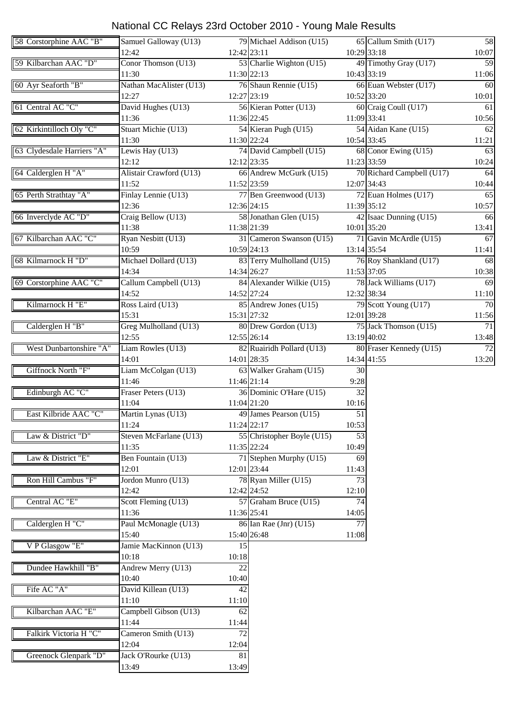| 58 Corstorphine AAC "B"    | Samuel Galloway (U13)               |                 | 79 Michael Addison (U15)   |                 | 65 Callum Smith (U17)     | 58    |
|----------------------------|-------------------------------------|-----------------|----------------------------|-----------------|---------------------------|-------|
|                            | 12:42                               | $12:42$ 23:11   |                            | 10:29 33:18     |                           | 10:07 |
| 59 Kilbarchan AAC "D"      | Conor Thomson (U13)                 |                 | 53 Charlie Wighton (U15)   |                 | 49 Timothy Gray (U17)     | 59    |
|                            | 11:30                               | 11:30 22:13     |                            | 10:43 33:19     |                           | 11:06 |
| 60 Ayr Seaforth "B"        | Nathan MacAlister (U13)             |                 | 76 Shaun Rennie (U15)      |                 | 66 Euan Webster (U17)     | 60    |
|                            | 12:27                               | 12:27 23:19     |                            | 10:52 33:20     |                           | 10:01 |
| 61 Central AC "C"          | David Hughes (U13)                  |                 | 56 Kieran Potter (U13)     |                 | 60 Craig Coull (U17)      | 61    |
|                            | 11:36                               | 11:36 22:45     |                            | 11:09 33:41     |                           | 10:56 |
| 62 Kirkintilloch Oly "C"   | Stuart Michie (U13)                 |                 | 54 Kieran Pugh (U15)       |                 | 54 Aidan Kane (U15)       | 62    |
|                            | 11:30                               | 11:30 22:24     |                            | 10:54 33:45     |                           | 11:21 |
| 63 Clydesdale Harriers "A" | Lewis Hay (U13)                     |                 | 74 David Campbell (U15)    |                 | 68 Conor Ewing (U15)      | 63    |
|                            | 12:12                               | 12:12 23:35     |                            | 11:23 33:59     |                           | 10:24 |
| 64 Calderglen H "A"        | Alistair Crawford (U13)             |                 | 66 Andrew McGurk (U15)     |                 | 70 Richard Campbell (U17) | 64    |
|                            | 11:52                               | 11:52 23:59     |                            | 12:07 34:43     |                           | 10:44 |
| 65 Perth Strathtay "A"     | Finlay Lennie (U13)                 |                 | 77 Ben Greenwood (U13)     |                 | 72 Euan Holmes (U17)      | 65    |
|                            | 12:36                               | 12:36 24:15     |                            | 11:39 35:12     |                           | 10:57 |
| 66 Inverclyde AC "D"       | Craig Bellow (U13)                  |                 | 58 Jonathan Glen (U15)     |                 | 42 Isaac Dunning (U15)    | 66    |
|                            | 11:38                               | 11:38 21:39     |                            | 10:01 35:20     |                           | 13:41 |
| 67 Kilbarchan AAC "C"      | Ryan Nesbitt (U13)                  |                 | 31 Cameron Swanson (U15)   |                 | 71 Gavin McArdle (U15)    | 67    |
|                            | 10:59                               | 10:59 24:13     |                            | 13:14 35:54     |                           | 11:41 |
| 68 Kilmarnock H "D"        | Michael Dollard (U13)               |                 | 83 Terry Mulholland (U15)  |                 | 76 Roy Shankland (U17)    | 68    |
|                            | 14:34                               | 14:34 26:27     |                            | 11:53 37:05     |                           | 10:38 |
| 69 Corstorphine AAC "C"    | Callum Campbell (U13)               |                 | 84 Alexander Wilkie (U15)  |                 | 78 Jack Williams (U17)    | 69    |
|                            | 14:52                               | 14:52 27:24     |                            | 12:32 38:34     |                           | 11:10 |
| Kilmarnock H "E"           | Ross Laird (U13)                    |                 | 85 Andrew Jones (U15)      |                 | 79 Scott Young (U17)      | 70    |
|                            | 15:31                               | 15:31 27:32     |                            | 12:01 39:28     |                           | 11:56 |
| Calderglen H "B"           | Greg Mulholland (U13)               |                 | 80 Drew Gordon (U13)       |                 | 75 Jack Thomson (U15)     | 71    |
|                            | 12:55                               | 12:55 26:14     |                            | 13:19 40:02     |                           | 13:48 |
| West Dunbartonshire "A"    | Liam Rowles (U13)                   |                 | 82 Ruairidh Pollard (U13)  |                 | 80 Fraser Kennedy (U15)   | 72    |
|                            | 14:01                               | 14:01 28:35     |                            | 14:34 41:55     |                           | 13:20 |
| Giffnock North "F"         | Liam McColgan (U13)                 |                 | 63 Walker Graham (U15)     | 30              |                           |       |
|                            | 11:46                               | 11:46 21:14     |                            | 9:28            |                           |       |
| Edinburgh AC "C"           | Fraser Peters (U13)                 |                 | 36 Dominic O'Hare (U15)    | 32              |                           |       |
|                            | 11:04                               | 11:04 21:20     |                            | 10:16           |                           |       |
| East Kilbride AAC "C"      | Martin Lynas (U13)                  |                 | 49 James Pearson (U15)     | 51              |                           |       |
|                            | 11:24                               | 11:24 22:17     |                            | 10:53           |                           |       |
| Law & District "D"         | Steven McFarlane $\overline{(U13)}$ |                 | 55 Christopher Boyle (U15) | 53              |                           |       |
|                            | 11:35                               | 11:35 22:24     |                            | 10:49           |                           |       |
| Law & District "E"         | Ben Fountain (U13)                  |                 | 71 Stephen Murphy (U15)    | 69              |                           |       |
|                            | 12:01                               | 12:01 23:44     |                            | 11:43           |                           |       |
| Ron Hill Cambus "F"        | Jordon Munro (U13)                  |                 | 78 Ryan Miller (U15)       | 73              |                           |       |
|                            | 12:42                               | 12:42 24:52     |                            | 12:10           |                           |       |
| Central AC "E"             | Scott Fleming (U13)                 |                 | 57 Graham Bruce (U15)      | $\overline{74}$ |                           |       |
|                            | 11:36                               | 11:36 25:41     |                            | 14:05           |                           |       |
| Calderglen H "C"           | Paul McMonagle (U13)                |                 | 86 Ian Rae (Jnr) (U15)     | 77              |                           |       |
|                            | 15:40                               | 15:40 26:48     |                            | 11:08           |                           |       |
| V P Glasgow "E"            | Jamie MacKinnon (U13)               | 15              |                            |                 |                           |       |
|                            | 10:18                               | 10:18           |                            |                 |                           |       |
| Dundee Hawkhill "B"        | Andrew Merry (U13)                  | $\overline{22}$ |                            |                 |                           |       |
|                            | 10:40                               | 10:40           |                            |                 |                           |       |
| Fife AC "A"                | David Killean (U13)                 | 42              |                            |                 |                           |       |
|                            | 11:10                               | 11:10           |                            |                 |                           |       |
| Kilbarchan AAC "E"         | Campbell Gibson (U13)               | 62              |                            |                 |                           |       |
|                            | 11:44                               | 11:44           |                            |                 |                           |       |
| Falkirk Victoria H "C"     | Cameron Smith (U13)                 | 72              |                            |                 |                           |       |
|                            | 12:04                               | 12:04           |                            |                 |                           |       |
| Greenock Glenpark "D"      | Jack O'Rourke (U13)                 | 81              |                            |                 |                           |       |
|                            | 13:49                               | 13:49           |                            |                 |                           |       |
|                            |                                     |                 |                            |                 |                           |       |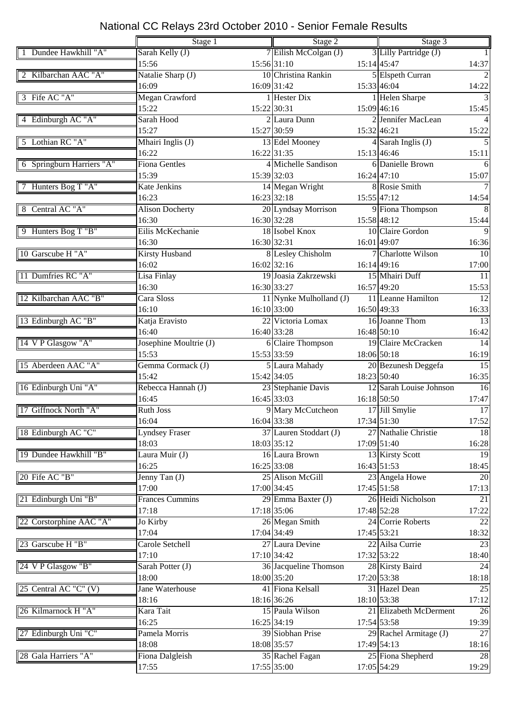|                           | Stage 1                | Stage 2                 |  | Stage 3                  |                 |  |
|---------------------------|------------------------|-------------------------|--|--------------------------|-----------------|--|
| 1 Dundee Hawkhill "A"     |                        |                         |  | 3 Lilly Partridge (J)    |                 |  |
|                           | Sarah Kelly (J)        | 7 Eilish McColgan (J)   |  |                          | 14:37           |  |
|                           | 15:56                  | 15:56 31:10             |  | 15:14 45:47              |                 |  |
| 2 Kilbarchan AAC "A"      | Natalie Sharp (J)      | 10 Christina Rankin     |  | 5 Elspeth Curran         | $\overline{2}$  |  |
|                           | 16:09                  | 16:09 31:42             |  | 15:33 46:04              | 14:22           |  |
| 3 Fife AC "A"             | Megan Crawford         | 1 Hester Dix            |  | 1 Helen Sharpe           |                 |  |
|                           | 15:22                  | 15:22 30:31             |  | 15:09 46:16              | 15:45           |  |
| 4 Edinburgh AC "A"        | Sarah Hood             | 2 Laura Dunn            |  | 2 Jennifer MacLean       |                 |  |
|                           | 15:27                  | 15:27 30:59             |  | 15:32 46:21              | 15:22           |  |
| 5 Lothian RC "A"          | Mhairi Inglis (J)      | 13 Edel Mooney          |  | $4$ Sarah Inglis (J)     | $\overline{5}$  |  |
|                           | 16:22                  | 16:22 31:35             |  | 15:13 46:46              | 15:11           |  |
| 6 Springburn Harriers "A" | <b>Fiona Gentles</b>   | 4 Michelle Sandison     |  | 6 Danielle Brown         | 6               |  |
|                           | 15:39                  | 15:39 32:03             |  | $16:24$ 47:10            | 15:07           |  |
| 7 Hunters Bog T "A"       | Kate Jenkins           | 14 Megan Wright         |  | 8 Rosie Smith            | $\tau$          |  |
|                           | 16:23                  | 16:23 32:18             |  | 15:55 47:12              | 14:54           |  |
| 8 Central AC "A"          | <b>Alison Docherty</b> | 20 Lyndsay Morrison     |  | 9 Fiona Thompson         | 8               |  |
|                           |                        |                         |  |                          |                 |  |
|                           | 16:30                  | 16:30 32:28             |  | 15:58 48:12              | 15:44           |  |
| 9 Hunters Bog T "B"       | Eilis McKechanie       | 18 Isobel Knox          |  | 10 Claire Gordon         | $\mathbf Q$     |  |
|                           | 16:30                  | 16:30 32:31             |  | 16:01 49:07              | 16:36           |  |
| 10 Garscube H "A"         | <b>Kirsty Husband</b>  | 8 Lesley Chisholm       |  | 7 Charlotte Wilson       | 10              |  |
|                           | 16:02                  | $16:02$ 32:16           |  | 16:14 49:16              | 17:00           |  |
| 11 Dumfries RC "A"        | Lisa Finlay            | 19 Joasia Zakrzewski    |  | 15 Mhairi Duff           | 11              |  |
|                           | 16:30                  | 16:30 33:27             |  | 16:57 49:20              | 15:53           |  |
| 12 Kilbarchan AAC "B"     | Cara Sloss             | 11 Nynke Mulholland (J) |  | 11 Leanne Hamilton       | 12              |  |
|                           | 16:10                  | 16:10 33:00             |  | 16:50 49:33              | 16:33           |  |
| 13 Edinburgh AC "B"       | Katja Eravisto         | 22 Victoria Lomax       |  | 16 Joanne Thom           | 13              |  |
|                           | 16:40                  | 16:40 33:28             |  | 16:48 50:10              | 16:42           |  |
| 14 V P Glasgow "A"        | Josephine Moultrie (J) | 6 Claire Thompson       |  | 19 Claire McCracken      | 14              |  |
|                           | 15:53                  | 15:53 33:59             |  | 18:06 50:18              | 16:19           |  |
| 15 Aberdeen AAC "A"       | Gemma Cormack (J)      | 5 Laura Mahady          |  | 20 Bezunesh Deggefa      | $\overline{15}$ |  |
|                           |                        |                         |  |                          |                 |  |
|                           | 15:42                  | 15:42 34:05             |  | 18:23 50:40              | 16:35           |  |
| 16 Edinburgh Uni "A"      | Rebecca Hannah (J)     | 23 Stephanie Davis      |  | 12 Sarah Louise Johnson  | 16              |  |
|                           | 16:45                  | 16:45 33:03             |  | 16:18 50:50              | 17:47           |  |
| 17 Giffnock North "A"     | <b>Ruth Joss</b>       | 9 Mary McCutcheon       |  | 17 Jill Smylie           | 17              |  |
|                           | 16:04                  | 16:04 33:38             |  | 17:34 51:30              | 17:52           |  |
| 18 Edinburgh AC "C"       | Lyndsey Fraser         | 37 Lauren Stoddart (J)  |  | 27 Nathalie Christie     | 18              |  |
|                           | 18:03                  | 18:03 35:12             |  | 17:09 51:40              | 16:28           |  |
| 19 Dundee Hawkhill "B"    | Laura Muir (J)         | 16 Laura Brown          |  | 13 Kirsty Scott          | 19              |  |
|                           | 16:25                  | 16:25 33:08             |  | 16:43 51:53              | 18:45           |  |
| 20 Fife AC "B"            | Jenny Tan $(J)$        | 25 Alison McGill        |  | 23 Angela Howe           | 20              |  |
|                           | 17:00                  | 17:00 34:45             |  | 17:45 51:58              | 17:13           |  |
| 21 Edinburgh Uni "B"      | <b>Frances Cummins</b> | 29 Emma Baxter (J)      |  | 26 Heidi Nicholson       | 21              |  |
|                           | 17:18                  | 17:18 35:06             |  | 17:48 52:28              | 17:22           |  |
| 22 Corstorphine AAC "A"   | Jo Kirby               | 26 Megan Smith          |  | 24 Corrie Roberts        | $\overline{22}$ |  |
|                           | 17:04                  | 17:04 34:49             |  | 17:45 53:21              | 18:32           |  |
| 23 Garscube H "B"         | Carole Setchell        | 27 Laura Devine         |  | 22 Ailsa Currie          | 23              |  |
|                           |                        |                         |  |                          |                 |  |
|                           | 17:10                  | 17:10 34:42             |  | 17:32 53:22              | 18:40           |  |
| 24 V P Glasgow "B"        | Sarah Potter (J)       | 36 Jacqueline Thomson   |  | 28 Kirsty Baird          | 24              |  |
|                           | 18:00                  | 18:00 35:20             |  | 17:20 53:38              | 18:18           |  |
| 25 Central AC "C" $(V)$   | Jane Waterhouse        | 41 Fiona Kelsall        |  | 31 Hazel Dean            | 25              |  |
|                           | 18:16                  | 18:16 36:26             |  | 18:10 53:38              | 17:12           |  |
| 26 Kilmarnock H "A"       | Kara Tait              | 15 Paula Wilson         |  | 21 Elizabeth McDerment   | 26              |  |
|                           | 16:25                  | 16:25 34:19             |  | 17:54 53:58              | 19:39           |  |
| 27 Edinburgh Uni "C"      | Pamela Morris          | 39 Siobhan Prise        |  | 29 Rachel Armitage $(J)$ | 27              |  |
|                           | 18:08                  | 18:08 35:57             |  | 17:49 54:13              | 18:16           |  |
| 28 Gala Harriers "A"      | Fiona Dalgleish        | 35 Rachel Fagan         |  | 25 Fiona Shepherd        | 28              |  |
|                           | 17:55                  | 17:55 35:00             |  | 17:05 54:29              | 19:29           |  |
|                           |                        |                         |  |                          |                 |  |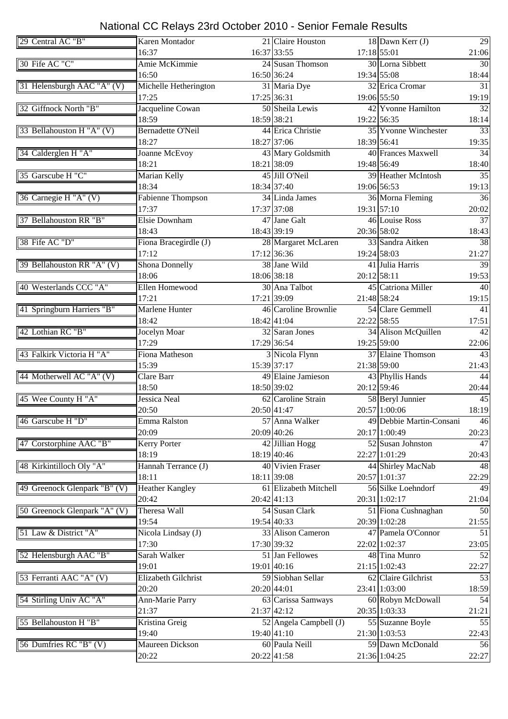| 29 Central AC "B"            | Karen Montador             |             | 21 Claire Houston      |               | $18$ Dawn Kerr (J)         | 29              |
|------------------------------|----------------------------|-------------|------------------------|---------------|----------------------------|-----------------|
|                              | 16:37                      |             | 16:37 33:55            |               | 17:18 55:01                | 21:06           |
| 30 Fife AC "C"               | Amie McKimmie              |             | 24 Susan Thomson       |               | 30 Lorna Sibbett           | 30              |
|                              | 16:50                      |             | 16:50 36:24            |               | 19:34 55:08                | 18:44           |
| 31 Helensburgh AAC "A" (V)   | Michelle Hetherington      |             | 31 Maria Dye           |               | 32 Erica Cromar            | $\overline{31}$ |
|                              | 17:25                      | 17:25 36:31 |                        |               | 19:06 55:50                | 19:19           |
| 32 Giffnock North "B"        | Jacqueline Cowan           |             | 50 Sheila Lewis        |               | 42 Yvonne Hamilton         | 32              |
|                              | 18:59                      | 18:59 38:21 |                        |               | 19:22 56:35                | 18:14           |
| 33 Bellahouston H "A" (V)    | <b>Bernadette O'Neil</b>   |             | 44 Erica Christie      |               | 35 Yvonne Winchester       | 33              |
|                              | 18:27                      |             | 18:27 37:06            | 18:39 56:41   |                            | 19:35           |
| 34 Calderglen H "A"          | Joanne McEvoy              |             | 43 Mary Goldsmith      |               | 40 Frances Maxwell         | 34              |
|                              | 18:21                      |             | 18:21 38:09            |               | 19:48 56:49                |                 |
|                              |                            |             | 45 Jill O'Neil         |               | <b>39 Heather McIntosh</b> | 18:40<br>35     |
| 35 Garscube H "C"            | Marian Kelly               |             |                        |               |                            |                 |
|                              | 18:34                      |             | 18:34 37:40            |               | 19:06 56:53                | 19:13           |
| 36 Carnegie H "A" (V)        | <b>Fabienne Thompson</b>   |             | 34 Linda James         |               | 36 Morna Fleming           | 36              |
|                              | 17:37                      |             | 17:37 37:08            |               | 19:31 57:10                | 20:02           |
| 37 Bellahouston RR "B"       | Elsie Downham              |             | 47 Jane Galt           |               | 46 Louise Ross             | 37              |
|                              | 18:43                      |             | 18:43 39:19            | 20:36 58:02   |                            | 18:43           |
| 38 Fife AC "D"               | Fiona Bracegirdle (J)      |             | 28 Margaret McLaren    |               | 33 Sandra Aitken           | 38              |
|                              | 17:12                      |             | 17:12 36:36            |               | 19:24 58:03                | 21:27           |
| 39 Bellahouston RR "A" (V)   | <b>Shona Donnelly</b>      |             | 38 Jane Wild           |               | 41 Julia Harris            | 39              |
|                              | 18:06                      | 18:06 38:18 |                        | $20:12$ 58:11 |                            | 19:53           |
| 40 Westerlands CCC "A"       | Ellen Homewood             |             | 30 Ana Talbot          |               | 45 Catriona Miller         | 40              |
|                              | 17:21                      | 17:21 39:09 |                        |               | 21:48 58:24                | 19:15           |
| 41 Springburn Harriers "B"   | <b>Marlene Hunter</b>      |             | 46 Caroline Brownlie   |               | 54 Clare Gemmell           | 41              |
|                              | 18:42                      |             | 18:42 41:04            | 22:22 58:55   |                            | 17:51           |
| 42 Lothian RC "B"            | Jocelyn Moar               |             | 32 Saran Jones         |               | 34 Alison McQuillen        | 42              |
|                              | 17:29                      |             | 17:29 36:54            |               | 19:25 59:00                | 22:06           |
| 43 Falkirk Victoria H "A"    | Fiona Matheson             |             | 3 Nicola Flynn         |               | 37 Elaine Thomson          | 43              |
|                              | 15:39                      |             | 15:39 37:17            |               | 21:38 59:00                | 21:43           |
| 44 Motherwell AC "A" (V)     | Clare Barr                 |             | 49 Elaine Jamieson     |               | 43 Phyllis Hands           | 44              |
|                              | 18:50                      |             | 18:50 39:02            |               | 20:12 59:46                | 20:44           |
| 45 Wee County H "A"          | <b>Jessica Neal</b>        |             | 62 Caroline Strain     |               | 58 Beryl Junnier           | 45              |
|                              | 20:50                      |             | 20:50 41:47            |               | 20:57 1:00:06              | 18:19           |
| 46 Garscube H "D"            | Emma Ralston               |             |                        |               | 49 Debbie Martin-Consani   | 46              |
|                              |                            |             | 57 Anna Walker         |               |                            |                 |
|                              | 20:09                      |             | 20:09 40:26            |               | 20:17 1:00:49              | 20:23           |
| 47 Corstorphine AAC "B"      | Kerry Porter               |             | 42 Jillian Hogg        |               | 52 Susan Johnston          | 47              |
|                              | 18:19                      |             | 18:19 40:46            |               | 22:27 1:01:29              | 20:43           |
| 48 Kirkintilloch Oly "A"     | Hannah Terrance (J)        |             | 40 Vivien Fraser       |               | 44 Shirley MacNab          | 48              |
|                              | 18:11                      |             | 18:11 39:08            |               | 20:57 1:01:37              | 22:29           |
| 49 Greenock Glenpark "B" (V) | <b>Heather Kangley</b>     |             | 61 Elizabeth Mitchell  |               | 56 Silke Loehndorf         | 49              |
|                              | 20:42                      | 20:42 41:13 |                        |               | 20:31 1:02:17              | 21:04           |
| 50 Greenock Glenpark "A" (V) | Theresa Wall               |             | 54 Susan Clark         |               | 51 Fiona Cushnaghan        | 50              |
|                              | 19:54                      |             | 19:54 40:33            |               | 20:39 1:02:28              | 21:55           |
| 51 Law & District "A"        | Nicola Lindsay (J)         |             | 33 Alison Cameron      |               | 47 Pamela O'Connor         | 51              |
|                              | 17:30                      |             | 17:30 39:32            |               | 22:02 1:02:37              | 23:05           |
| 52 Helensburgh AAC "B"       | Sarah Walker               |             | 51 Jan Fellowes        |               | 48 Tina Munro              | 52              |
|                              | 19:01                      |             | 19:01 40:16            |               | 21:15 1:02:43              | 22:27           |
| 53 Ferranti AAC "A" (V)      | <b>Elizabeth Gilchrist</b> |             | 59 Siobhan Sellar      |               | 62 Claire Gilchrist        | 53              |
|                              | 20:20                      | 20:20 44:01 |                        |               | 23:41 1:03:00              | 18:59           |
| 54 Stirling Univ AC "A"      | Ann-Marie Parry            |             | 63 Carissa Samways     |               | 60 Robyn McDowall          | 54              |
|                              | 21:37                      | 21:37 42:12 |                        |               | 20:35 1:03:33              | 21:21           |
| 55 Bellahouston H "B"        | Kristina Greig             |             | 52 Angela Campbell (J) |               | 55 Suzanne Boyle           | 55              |
|                              | 19:40                      |             | 19:40 41:10            |               | 21:30 1:03:53              | 22:43           |
| 56 Dumfries RC "B" (V)       | Maureen Dickson            |             | 60 Paula Neill         |               | 59 Dawn McDonald           | 56              |
|                              | 20:22                      |             | 20:22 41:58            |               | 21:36 1:04:25              | 22:27           |
|                              |                            |             |                        |               |                            |                 |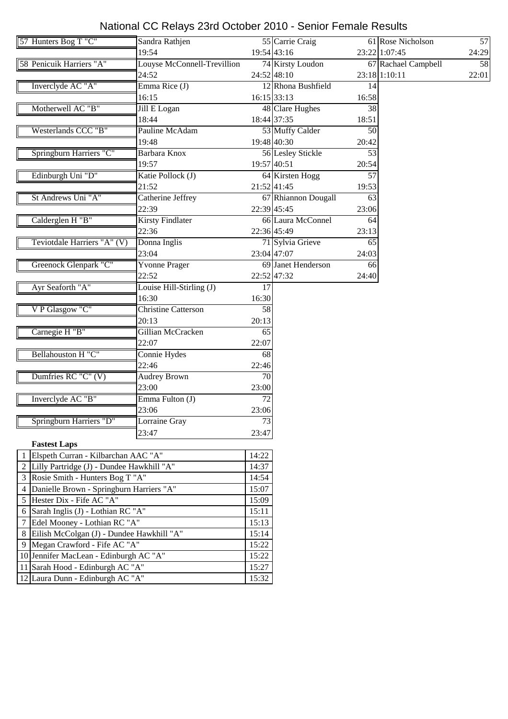| 57 Hunters Bog T "C"                        | Sandra Rathjen              |                 | 55 Carrie Craig     |       | 61 Rose Nicholson   | 57              |
|---------------------------------------------|-----------------------------|-----------------|---------------------|-------|---------------------|-----------------|
|                                             | 19:54                       |                 | 19:54 43:16         |       | 23:22 1:07:45       | 24:29           |
| 58 Penicuik Harriers "A"                    | Louyse McConnell-Trevillion |                 | 74 Kirsty Loudon    |       | 67 Rachael Campbell | $\overline{58}$ |
|                                             | 24:52                       |                 | 24:52 48:10         |       | 23:18 1:10:11       | 22:01           |
| Inverclyde AC "A"                           | Emma Rice (J)               |                 | 12 Rhona Bushfield  | 14    |                     |                 |
|                                             | 16:15                       |                 | 16:15 33:13         | 16:58 |                     |                 |
| Motherwell AC "B"                           | Jill E Logan                |                 | 48 Clare Hughes     | 38    |                     |                 |
|                                             | 18:44                       |                 | 18:44 37:35         | 18:51 |                     |                 |
| Westerlands CCC "B"                         | Pauline McAdam              |                 | 53 Muffy Calder     | 50    |                     |                 |
|                                             | 19:48                       |                 | 19:48 40:30         | 20:42 |                     |                 |
| Springburn Harriers "C"                     | Barbara Knox                |                 | 56 Lesley Stickle   | 53    |                     |                 |
|                                             | 19:57                       |                 | 19:57 40:51         | 20:54 |                     |                 |
| Edinburgh Uni "D"                           | Katie Pollock (J)           |                 | 64 Kirsten Hogg     | 57    |                     |                 |
|                                             | 21:52                       |                 | 21:52 41:45         | 19:53 |                     |                 |
| St Andrews Uni "A"                          | Catherine Jeffrey           |                 | 67 Rhiannon Dougall | 63    |                     |                 |
|                                             | 22:39                       |                 | 22:39 45:45         | 23:06 |                     |                 |
| Calderglen H "B"                            | <b>Kirsty Findlater</b>     |                 | 66 Laura McConnel   | 64    |                     |                 |
|                                             | 22:36                       |                 | 22:36 45:49         | 23:13 |                     |                 |
| Teviotdale Harriers "A" (V)                 | Donna Inglis                |                 | 71 Sylvia Grieve    | 65    |                     |                 |
|                                             | 23:04                       |                 | 23:04 47:07         | 24:03 |                     |                 |
| Greenock Glenpark "C"                       | <b>Yvonne Prager</b>        |                 | 69 Janet Henderson  | 66    |                     |                 |
|                                             | 22:52                       |                 | 22:52 47:32         | 24:40 |                     |                 |
| Ayr Seaforth "A"                            | Louise Hill-Stirling (J)    | $\overline{17}$ |                     |       |                     |                 |
|                                             | 16:30                       | 16:30           |                     |       |                     |                 |
| V P Glasgow "C"                             | <b>Christine Catterson</b>  | $\overline{58}$ |                     |       |                     |                 |
|                                             | 20:13                       | 20:13           |                     |       |                     |                 |
| Carnegie H "B"                              | Gillian McCracken           | 65              |                     |       |                     |                 |
|                                             | 22:07                       | 22:07           |                     |       |                     |                 |
| Bellahouston H "C"                          | Connie Hydes                | 68              |                     |       |                     |                 |
|                                             | 22:46                       | 22:46           |                     |       |                     |                 |
| Dumfries RC "C" (V)                         | <b>Audrey Brown</b>         | 70              |                     |       |                     |                 |
|                                             | 23:00                       | 23:00           |                     |       |                     |                 |
| Inverclyde AC "B"                           | Emma Fulton (J)             | $\overline{72}$ |                     |       |                     |                 |
|                                             | 23:06                       | 23:06           |                     |       |                     |                 |
| Springburn Harriers "D"                     | Lorraine Gray               | 73              |                     |       |                     |                 |
|                                             | 23:47                       | 23:47           |                     |       |                     |                 |
| <b>Fastest Laps</b>                         |                             |                 |                     |       |                     |                 |
| 1 Elspeth Curran - Kilbarchan AAC "A"       |                             | 14:22           |                     |       |                     |                 |
| 2 Lilly Partridge (J) - Dundee Hawkhill "A" |                             | 14:37           |                     |       |                     |                 |
| 3 Rosie Smith - Hunters Bog T "A"           |                             | 14:54           |                     |       |                     |                 |
| 4 Danielle Brown - Springburn Harriers "A"  |                             | 15:07           |                     |       |                     |                 |
| 5 Hester Dix - Fife AC "A"                  |                             | 15:09           |                     |       |                     |                 |
| Sarah Inglis (J) - Lothian RC "A"<br>6      |                             | 15:11           |                     |       |                     |                 |
| Edel Mooney - Lothian RC "A"<br>7           |                             | 15:13           |                     |       |                     |                 |
| 8 Eilish McColgan (J) - Dundee Hawkhill "A" |                             | 15:14           |                     |       |                     |                 |
| 9 Megan Crawford - Fife AC "A"              |                             | 15:22           |                     |       |                     |                 |
| 10 Jennifer MacLean - Edinburgh AC "A"      |                             | 15:22           |                     |       |                     |                 |
| 11 Sarah Hood - Edinburgh AC "A"            |                             | 15:27           |                     |       |                     |                 |
|                                             |                             |                 |                     |       |                     |                 |
| 12 Laura Dunn - Edinburgh AC "A"            |                             | 15:32           |                     |       |                     |                 |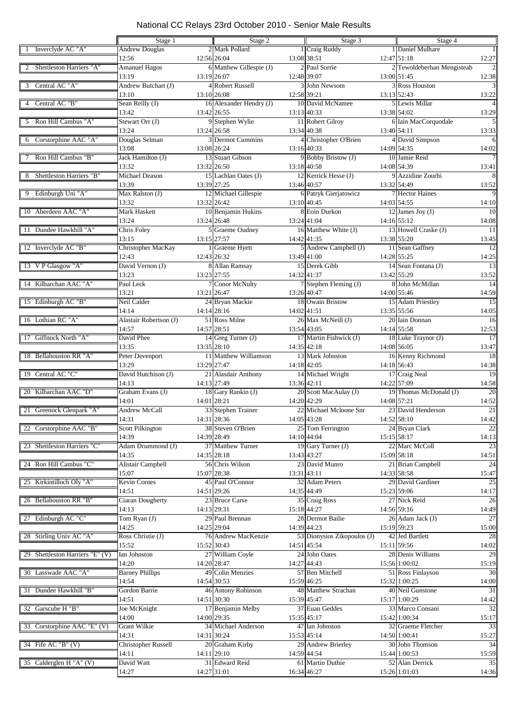|                                    | Stage 1                    | Stage 2                 | Stage 3                     | Stage 4                                      |
|------------------------------------|----------------------------|-------------------------|-----------------------------|----------------------------------------------|
| Inverclyde AC "A"                  | <b>Andrew Douglas</b>      | 2 Mark Pollard          | 1 Craig Ruddy               | 1 Daniel Mulhare<br>$\overline{1}$           |
|                                    | 12:56                      | 12:56 26:04             | 13:08 38:51                 | 12:47 51:18<br>12:27                         |
| Shettleston Harriers "A"           | <b>Amanuel Hagos</b>       | 6 Matthew Gillespie (J) | 2 Paul Sorrie               | 2 Tewoldeberhan Mengisteab<br>$\overline{2}$ |
|                                    | 13:19                      | 13:19 26:07             | 12:48 39:07                 | 13:00 51:45<br>12:38                         |
| Central AC "A"                     | Andrew Butchart (J)        | 4 Robert Russell        | 3 John Newsom               | 3 Ross Houston<br>$\mathcal{R}$              |
|                                    | 13:10                      | 13:10 26:08             | 12:58 39:21                 | 13:13 52:43<br>13:22                         |
|                                    |                            | 16 Alexander Hendry (J) | 10 David McNamee            | 5 Lewis Millar<br>$\overline{4}$             |
| Central AC "B"                     | Sean Reilly (J)            |                         |                             |                                              |
|                                    | 13:42                      | 13:42 26:55             | 13:13 40:33                 | 13:38 54:02<br>13:29                         |
| Ron Hill Cambus "A"<br>5           | Stewart Orr (J)            | 9 Stephen Wylie         | 11 Robert Gilroy            | 6 Iain MacCorquodale<br>$\overline{5}$       |
|                                    | 13:24                      | 13:24 26:58             | 13:34 40:38                 | 13:40 54:11<br>13:33                         |
| Corstorphine AAC "A"<br>6          | Douglas Selman             | 3 Dermot Cummins        | 4 Christopher O'Brien       | 4 David Simpson<br>6                         |
|                                    | 13:08                      | 13:08 26:24             | 13:16 40:33                 | 14:09 54:35<br>14:02                         |
| Ron Hill Cambus "B"                | Jack Hamilton (J)          | 13 Stuart Gibson        | 9 Bobby Bristow (J)         | 10 Jamie Reid<br>$7\phantom{.0}$             |
|                                    | 13:32                      | 13:32 26:50             | 13:18 40:58                 | 14:08 54:39<br>13:41                         |
| Shettleston Harriers "B"           | Michael Deason             | 15 Lachlan Oates (J)    | 12 Kerrick Hesse (J)        | 9 Azzidine Zourhi<br>8                       |
|                                    | 13:39                      | 13:39 27:25             | 13:46 40:57                 | 13:32 54:49<br>13:52                         |
|                                    |                            |                         |                             |                                              |
| Edinburgh Uni "A"                  | Max Ralston (J)            | 12 Michael Gillespie    | 6 Patryk Gierjatowicz       | 7 Hector Haines<br>9                         |
|                                    | 13:32                      | 13:32 26:42             | 13:10 40:45                 | 14:03 54:55<br>14:10                         |
| 10 Aberdeen AAC "A"                | Mark Haskett               | 10 Benjamin Hukins      | 8 Eoin Durkon               | 12 James Joy $(J)$<br>10                     |
|                                    | 13:24                      | 13:24 26:48             | 13:24 41:04                 | 14:16 55:12<br>14:08                         |
| Dundee Hawkhill "A"<br>-11         | Chris Foley                | 5 Graeme Oudney         | 16 Matthew White (J)        | 13 Howell Craske (J)<br>11                   |
|                                    | 13:15                      | 13:15 27:57             | 14:42 41:35                 | 13:38 55:20<br>13:45                         |
| 12 Inverclyde AC "B"               | Christopher MacKay         | 1 Graeme Hyett          | 5 Andrew Campbell (J)       | 11 Sean Gaffney<br>12                        |
|                                    | 12:43                      | 12:43 26:32             | 13:49 41:00                 | 14:28 55:25<br>14:25                         |
|                                    | David Vernon (J)           |                         | 15 Derek Gibb               | 14 Sean Fontana (J)<br>13                    |
| 13 V P Glasgow "A"                 |                            | 8 Allan Ramsay          |                             |                                              |
|                                    | 13:23                      | 13:23 27:55             | 14:32 41:37                 | 13:42 55:29<br>13:52                         |
| 14 Kilbarchan AAC "A"              | Paul Leck                  | 7 Conor McNulty         | 7 Stephen Fleming (J)       | 8 John McMillan<br>$\overline{14}$           |
|                                    | 13:21                      | 13:21 26:47             | 13:26 40:47                 | 14:00 55:46<br>14:59                         |
| 15 Edinburgh AC "B"                | Neil Calder                | 24 Bryan Mackie         | 18 Owain Bristow            | 15 Adam Priestley<br>$\overline{15}$         |
|                                    | 14:14                      | 14:14 28:16             | 14:02 41:51                 | 13:35 55:56<br>14:05                         |
| 16 Lothian RC "A"                  | Alastair Robertson (J)     | 51 Ross Milne           | 26 Max McNeill (J)          | 20 Iain Donnan<br>16                         |
|                                    | 14:57                      | 14:57 28:51             | 13:54 43:05                 | 14:14 55:58<br>12:53                         |
| Giffnock North "A"<br>17           | David Phee                 | 14 Greg Turner $(J)$    | 17 Martin Fishwick (J)      | 18 Luke Traynor (J)<br>17                    |
|                                    | 13:35                      | 13:35 28:10             | 14:35 42:18                 | 14:08 56:05<br>13:47                         |
|                                    |                            |                         |                             |                                              |
| 18 Bellahouston RR "A"             | Peter Devenport            | 11 Matthew Williamson   | 13 Mark Johnston            | 16 Kenny Richmond<br>$\overline{18}$         |
|                                    | 13:29                      | 13:29 27:47             | 14:18 42:05                 | 14:18 56:43<br>14:38                         |
| Central AC "C"<br>19               | David Hutchison (J)        | 21 Alasdair Anthony     | 14 Michael Wright           | 17 Craig Neal<br>$\overline{19}$             |
|                                    | 14:13                      | 14:13 27:49             | 13:36 42:11                 | 14:22 57:09<br>14:58                         |
| 20 Kilbarchan AAC "D"              | Graham Evans (J)           | 18 Gary Rankin (J)      | 20 Scott MacAulay (J)       | 19 Thomas McDonald (J)<br>20                 |
|                                    | 14:01                      | 14:01 28:21             | 14:20 42:29                 | 14:08 57:21<br>14:52                         |
| 21 Greenock Glenpark "A"           | <b>Andrew McCall</b>       | 33 Stephen Trainer      | 22 Michael Mcloone Snr      | 23 David Henderson<br>21                     |
|                                    | 14:31                      | 14:31 28:36             | 14:05 43:28                 | 14:52 58:10<br>14:42                         |
| 22 Corstorphine AAC "B"            | <b>Scott Pilkington</b>    | 38 Steven O'Brien       | 25 Tom Ferrington           | 24 Bryan Clark<br>22                         |
|                                    | 14:39                      | 14:39 28:49             | 14:10 44:04                 | 15:15 58:17<br>14:13                         |
|                                    | Adam Drummond (J)          |                         |                             |                                              |
| Shettleston Harriers "C"<br>23     |                            | 37 Matthew Turner       | 19 Gary Turner (J)          | 22 Marc McColl<br>23                         |
|                                    | 14:35                      | 14:35 28:18             | 13:43 43:27                 | 15:09 58:18<br>14:51                         |
| Ron Hill Cambus "C"<br>24          | <b>Alistair Campbell</b>   | 56 Chris Wilson         | 23 David Munro              | 21 Brian Campbell<br>24                      |
|                                    | 15:07                      | 15:07 28:38             | 13:31 43:11                 | 14:33 58:58<br>15:47                         |
| Kirkintilloch Oly "A"<br>25        | <b>Kevin Cornes</b>        | 45 Paul O'Connor        | 32 Adam Peters              | 29 David Gardiner<br>25                      |
|                                    | 14:51                      | 14:51 29:26             | 14:35 44:49                 | 15:23 59:06<br>14:17                         |
| 26 Bellahouston RR "B"             | <b>Ciaran Dougherty</b>    | 23 Bruce Carse          | 35 Craig Ross               | 27 Nick Reid<br>26                           |
|                                    | 14:13                      | 14:13 29:31             | 15:18 44:27                 | 14:56 59:16<br>14:49                         |
| Edinburgh AC "C"<br>27             | Tom Ryan (J)               | 29 Paul Brennan         | 28 Dermot Bailie            | 27<br>26 Adam Jack (J)                       |
|                                    | 14:25                      | 14:25 29:04             | 14:39 44:23                 | 15:19 59:23<br>15:00                         |
|                                    |                            | 76 Andrew MacKenzie     |                             |                                              |
| 28 Stirling Univ AC "A"            | Ross Christie (J)          |                         | 53 Dionysios Zikopoulos (J) | 42 Jed Bartlett<br>28                        |
|                                    | 15:52                      | 15:52 30:43             | 14:51 45:54                 | 15:11 59:56<br>14:02                         |
| Shettleston Harriers "E" (V)<br>29 | Ian Johnston               | 27 William Coyle        | 24 John Oates               | 28 Denis Williams<br>29                      |
|                                    | 14:20                      | 14:20 28:47             | 14:27 44:43                 | 15:56 1:00:02<br>15:19                       |
| 30 Lasswade AAC "A"                | <b>Barney Phillips</b>     | 49 Colin Menzies        | 57 Ben Mitchell             | 51 Ross Finlayson<br>30                      |
|                                    | 14:54                      | 14:54 30:53             | 15:59 46:25                 | 15:32 1:00:25<br>14:00                       |
| Dundee Hawkhill "B"<br>31          | Gordon Barrie              | 46 Antony Robinson      | 48 Matthew Strachan         | 40 Neil Gunstone<br>31                       |
|                                    | 14:51                      | 14:51 30:30             | 15:39 45:47                 | 15:17 1:00:29<br>14:42                       |
| 32 Garscube H "B"                  | Joe McKnight               | 17 Benjamin Melby       | 37 Euan Geddes              | 32<br>33 Marco Consani                       |
|                                    | 14:00                      | 14:00 29:35             |                             | 15:42 1:00:34                                |
|                                    |                            |                         | 15:35 45:17                 | 15:17                                        |
| Corstorphine AAC "E" $(V)$<br>33   | <b>Grant Wilkie</b>        | 34 Michael Anderson     | 47 Ian Johnston             | 33<br>32 Graeme Fletcher                     |
|                                    | 14:31                      | 14:31 30:24             | 15:53 45:14                 | 14:50 1:00:41<br>15:27                       |
| 34 Fife AC "B" (V)                 | <b>Christopher Russell</b> | 20 Graham Kirby         | 29 Andrew Brierley          | 30 John Thomson<br>34                        |
|                                    | 14:11                      | 14:11 29:10             | 14:59 44:54                 | 15:44 1:00:53<br>15:59                       |
| 35 Calderglen H "A" (V)            | David Watt                 | 31 Edward Reid          | 61 Martin Duthie            | $\overline{35}$<br>52 Alan Derrick           |
|                                    | 14:27                      | 14:27 31:01             | 16:34 46:27                 | 15:26 1:01:03<br>14:36                       |
|                                    |                            |                         |                             |                                              |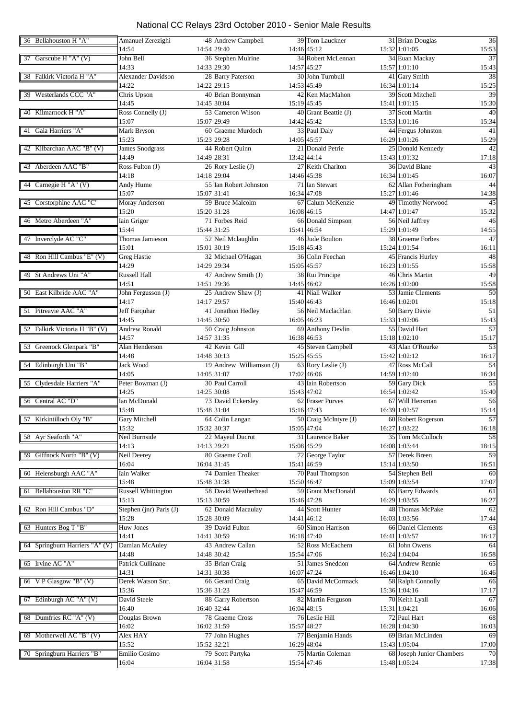| 36 Bellahouston H "A"          | Amanuel Zerezighi          |             | 48 Andrew Campbell       |             | 39 Tom Lauckner       | 36<br>31 Brian Douglas               |
|--------------------------------|----------------------------|-------------|--------------------------|-------------|-----------------------|--------------------------------------|
|                                | 14:54                      |             | 14:54 29:40              |             | 14:46 45:12           | 15:32 1:01:05<br>15:53               |
| 37 Garscube H "A" (V)          | John Bell                  |             | 36 Stephen Mulrine       |             | 34 Robert McLennan    | 34 Euan Mackay<br>$\overline{37}$    |
|                                | 14:33                      |             | 14:33 29:30              | 14:57 45:27 |                       | 15:57 1:01:10<br>15:43               |
| 38 Falkirk Victoria H "A"      | Alexander Davidson         |             | 28 Barry Paterson        |             | 30 John Turnbull      | 41 Gary Smith<br>38                  |
|                                | 14:22                      |             | 14:22 29:15              | 14:53 45:49 |                       | 16:34 1:01:14<br>15:25               |
| 39 Westerlands CCC "A"         | Chris Upson                |             | 40 Brian Bonnyman        |             | 42 Ken MacMahon       | 39 Scott Mitchell<br>39              |
|                                | 14:45                      |             | 14:45 30:04              |             | 15:19 45:45           | 15:41 1:01:15<br>15:30               |
| 40 Kilmarnock H "A"            | Ross Connelly (J)          |             | 53 Cameron Wilson        |             | 40 Grant Beattie (J)  | 37 Scott Martin<br>40                |
|                                | 15:07                      |             | 15:07 29:49              |             | 14:42 45:42           | 15:53 1:01:16<br>15:34               |
| Gala Harriers "A"<br>41        | Mark Bryson                |             | 60 Graeme Murdoch        |             | 33 Paul Daly          | 44 Fergus Johnston<br>41             |
|                                | 15:23                      |             | 15:23 29:28              |             | 14:05 45:57           | 16:29 1:01:26<br>15:29               |
|                                |                            |             |                          |             |                       |                                      |
| 42 Kilbarchan AAC "B" (V)      | <b>James Snodgrass</b>     |             | 44 Robert Quinn          |             | 21 Donald Petrie      | 25 Donald Kennedy<br>42              |
|                                | 14:49                      |             | 14:49 28:31              |             | 13:42 44:14           | 15:43 1:01:32<br>17:18               |
| 43 Aberdeen AAC "B"            | Ross Fulton (J)            |             | 26 Rory Leslie (J)       |             | 27 Keith Charlton     | 36 David Blane<br>43                 |
|                                | 14:18                      |             | 14:18 29:04              |             | 14:46 45:38           | 16:34 1:01:45<br>16:07               |
| 44 Carnegie H "A" (V)          | Andy Hume                  |             | 55 Ian Robert Johnston   |             | 71 Ian Stewart        | 62 Allan Fotheringham<br>44          |
|                                | 15:07                      | 15:07 31:41 |                          |             | 16:34 47:08           | 15:27 1:01:46<br>14:38               |
| 45 Corstorphine AAC "C"        | Moray Anderson             |             | 59 Bruce Malcolm         |             | 67 Calum McKenzie     | 49 Timothy Norwood<br>45             |
|                                | 15:20                      |             | 15:20 31:28              |             | 16:08 46:15           | 14:47 1:01:47<br>15:32               |
| 46 Metro Aberdeen "A"          | Iain Grigor                |             | 71 Forbes Reid           |             | 66 Donald Simpson     | 56 Neil Jaffrey<br>46                |
|                                | 15:44                      |             | 15:44 31:25              | 15:41 46:54 |                       | 15:29 1:01:49<br>14:55               |
| 47 Inverclyde AC "C"           | Thomas Jamieson            |             | 52 Neil Mclaughlin       |             | 46 Jude Boulton       | 38 Graeme Forbes<br>47               |
|                                | 15:01                      |             | 15:01 30:19              | 15:18 45:43 |                       | 15:24 1:01:54<br>16:11               |
| 48 Ron Hill Cambus "E" (V)     | <b>Greg Hastie</b>         |             | 32 Michael O'Hagan       |             | 36 Colin Feechan      | 45 Francis Hurley<br>48              |
|                                | 14:29                      |             | 14:29 29:34              | 15:05 45:57 |                       | 16:23 1:01:55                        |
|                                |                            |             |                          |             |                       | 15:58                                |
| 49 St Andrews Uni "A"          | <b>Russell Hall</b>        |             | 47 Andrew Smith (J)      |             | 38 Rui Principe       | 49<br>46 Chris Martin                |
|                                | 14:51                      |             | 14:51 29:36              |             | 14:45 46:02           | 16:26 1:02:00<br>15:58               |
| 50 East Kilbride AAC "A"       | John Fergusson (J)         |             | 25 Andrew Shaw (J)       |             | 41 Niall Walker       | 53 Jamie Clements<br>$\overline{50}$ |
|                                | 14:17                      |             | 14:17 29:57              | 15:40 46:43 |                       | 16:46 1:02:01<br>15:18               |
| 51 Pitreavie AAC "A"           | Jeff Farquhar              |             | 41 Jonathon Hedley       |             | 56 Neil Maclachlan    | 50 Barry Davie<br>51                 |
|                                | 14:45                      |             | 14:45 30:50              |             | 16:05 46:23           | 15:33 1:02:06<br>15:43               |
| 52 Falkirk Victoria H "B" (V)  | <b>Andrew Ronald</b>       |             | 50 Craig Johnston        |             | 69 Anthony Devlin     | 55 David Hart<br>$\overline{52}$     |
|                                | 14:57                      |             | 14:57 31:35              |             | 16:38 46:53           | 15:18 1:02:10<br>15:17               |
| 53 Greenock Glenpark "B"       | Alan Henderson             |             | 42 Kevin Gill            |             | 45 Steven Campbell    | 43 Alan O'Rourke<br>$\overline{53}$  |
|                                | 14:48                      |             | 14:48 30:13              |             | 15:25 45:55           | 15:42 1:02:12<br>16:17               |
| 54 Edinburgh Uni "B"           | Jack Wood                  |             | 19 Andrew Williamson (J) |             | 63 Rory Leslie (J)    | 47 Ross McCall<br>54                 |
|                                | 14:05                      |             | 14:05 31:07              |             | 17:02 46:06           | 14:59 1:02:40<br>16:34               |
| 55 Clydesdale Harriers "A"     | Peter Bowman (J)           |             | 30 Paul Carroll          |             | 43 Iain Robertson     | 59 Gary Dick<br>$\overline{55}$      |
|                                |                            |             |                          |             |                       |                                      |
|                                | 14:25                      |             | 14:25 30:08              |             | 15:43 47:02           | 16:54 1:02:42<br>15:40               |
| 56 Central AC "D"              | Ian McDonald               |             | 73 David Eckersley       |             | 62 Fraser Purves      | 67 Will Hensman<br>56                |
|                                | 15:48                      |             | 15:48 31:04              |             | 15:16 47:43           | 16:39 1:02:57<br>15:14               |
| 57 Kirkintilloch Oly "B"       | Gary Mitchell              |             | 64 Colin Langan          |             | 50 Craig McIntyre (J) | 57<br>60 Robert Rogerson             |
|                                | 15:32                      |             | 15:32 30:37              |             | 15:05 47:04           | 16:27 1:03:22<br>16:18               |
| 58 Ayr Seaforth "A"            | Neil Burnside              |             | 22 Mayeul Ducrot         |             | 31 Laurence Baker     | 58<br>35 Tom McCulloch               |
|                                | 14:13                      |             | 14:13 29:21              |             | 15:08 45:29           | 16:08 1:03:44<br>18:15               |
| 59 Giffnock North "B" (V)      | Neil Deerey                |             | 80 Graeme Croll          |             | 72 George Taylor      | 57 Derek Breen<br>59                 |
|                                | 16:04                      |             | 16:04 31:45              |             | 15:41 46:59           | 15:14 1:03:50<br>16:51               |
| 60 Helensburgh AAC "A"         | Iain Walker                |             | 74 Damien Theaker        |             | 70 Paul Thompson      | 54 Stephen Bell<br>60                |
|                                | 15:48                      |             | 15:48 31:38              |             | 15:50 46:47           | 15:09 1:03:54<br>17:07               |
| 61 Bellahouston RR "C"         | <b>Russell Whittington</b> |             | 58 David Weatherhead     |             | 59 Grant MacDonald    | 65 Barry Edwards<br>61               |
|                                | 15:13                      |             | 15:13 30:59              |             | 15:46 47:28           | 16:29 1:03:55<br>16:27               |
| 62 Ron Hill Cambus "D"         | Stephen (jnr) Paris (J)    |             | 62 Donald Macaulay       |             | 44 Scott Hunter       | 48 Thomas McPake<br>62               |
|                                | 15:28                      |             | 15:28 30:09              |             | 14:41 46:12           | 16:03 1:03:56<br>17:44               |
|                                |                            |             |                          |             |                       |                                      |
| 63 Hunters Bog T "B"           | Huw Jones                  |             | 39 David Fulton          |             | 60 Simon Harrison     | 66 Daniel Clements<br>63             |
|                                | 14:41                      |             | 14:41 30:59              |             | 16:18 47:40           | 16:41 1:03:57<br>16:17               |
| 64 Springburn Harriers "A" (V) | Damian McAuley             |             | 43 Andrew Callan         |             | 52 Ross McEachern     | 64<br>61 John Owens                  |
|                                | 14:48                      |             | 14:48 30:42              |             | 15:54 47:06           | 16:24 1:04:04<br>16:58               |
| 65 Irvine AC "A"               | Patrick Cullinane          |             | 35 Brian Craig           |             | 51 James Sneddon      | 64 Andrew Rennie<br>65               |
|                                | 14:31                      |             | 14:31 30:38              |             | 16:07 47:24           | 16:46 1:04:10<br>16:46               |
| 66 V P Glasgow "B" (V)         | Derek Watson Snr.          |             | 66 Gerard Craig          |             | 65 David McCormack    | 58 Ralph Connolly<br>66              |
|                                | 15:36                      |             | 15:36 31:23              |             | 15:47 46:59           | 15:36 1:04:16<br>17:17               |
| 67 Edinburgh AC "A" (V)        | David Steele               |             | 88 Garry Robertson       |             | 82 Martin Ferguson    | 70 Keith Lyall<br>67                 |
|                                | 16:40                      |             | 16:40 32:44              |             | 16:04 48:15           | 15:31 1:04:21<br>16:06               |
| 68 Dumfries RC "A" (V)         | Douglas Brown              |             | 78 Graeme Cross          |             | 76 Leslie Hill        | 72 Paul Hart<br>68                   |
|                                | 16:02                      |             | 16:02 31:59              | 15:57 48:27 |                       | 16:28 1:04:30<br>16:03               |
| 69 Motherwell AC "B" (V)       | Alex HAY                   |             | 77 John Hughes           |             | 77 Benjamin Hands     | 69 Brian McLinden<br>69              |
|                                | 15:52                      |             | 15:52 32:21              |             | 16:29 48:04           | 15:43 1:05:04<br>17:00               |
| Springburn Harriers "B"<br>70  | Emilio Cosimo              |             | 79 Scott Partyka         |             | 75 Martin Coleman     | 68 Joseph Junior Chambers<br>70      |
|                                |                            |             |                          |             |                       |                                      |
|                                | 16:04                      |             | 16:04 31:58              |             | 15:54 47:46           | 17:38<br>15:48 1:05:24               |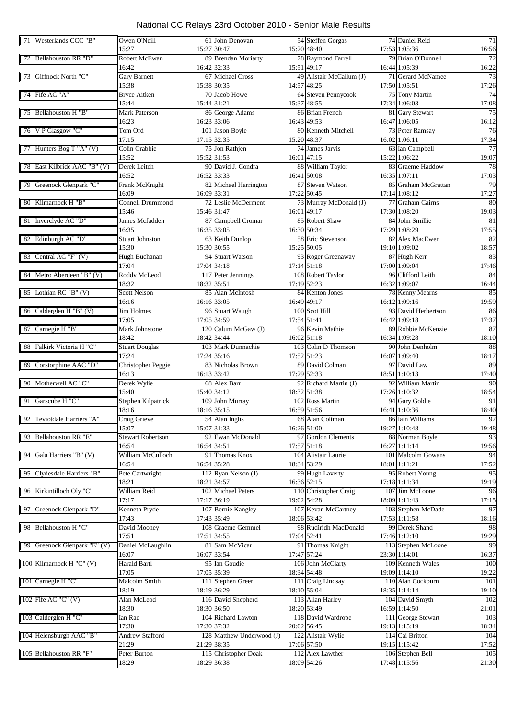| 71 Westerlands CCC "B"       | Owen O'Neill              | 61 John Denovan           | 54 Steffen Gorgas        | 74 Daniel Reid      | 71          |
|------------------------------|---------------------------|---------------------------|--------------------------|---------------------|-------------|
|                              | 15:27                     | 15:27 30:47               | 15:20 48:40              | 17:53 1:05:36       | 16:56       |
| 72 Bellahouston RR "D"       | Robert McEwan             | 89 Brendan Moriarty       | 78 Raymond Farrell       | 79 Brian O'Donnell  | 72          |
|                              | 16:42                     | 16:42 32:33               | 15:51 49:17              | 16:44 1:05:39       | 16:22       |
| 73 Giffnock North "C"        | <b>Gary Barnett</b>       | 67 Michael Cross          | 49 Alistair McCallum (J) | 71 Gerard McNamee   | 73          |
|                              | 15:38                     | 15:38 30:35               | 14:57 48:25              | 17:50 1:05:51       | 17:26       |
| 74 Fife AC "A"               | <b>Bryce Aitken</b>       | 70 Jacob Howe             | 64 Steven Pennycook      | 75 Tony Martin      | 74          |
|                              | 15:44                     | 15:44 31:21               | 15:37 48:55              | 17:34 1:06:03       | 17:08       |
| 75 Bellahouston H "B"        | <b>Mark Paterson</b>      | 86 George Adams           | 86 Brian French          | 81 Gary Stewart     | 75          |
|                              | 16:23                     | 16:23 33:06               | 16:43 49:53              | 16:47 1:06:05       | 16:12       |
| 76 VP Glasgow "C"            | Tom Ord                   | 101 Jason Boyle           | 80 Kenneth Mitchell      | 73 Peter Ramsay     | 76          |
|                              | 17:15                     | 17:15 32:35               | 15:20 48:37              | 16:02 1:06:11       | 17:34       |
| 77 Hunters Bog T "A" (V)     | Colin Crabbie             | 75 Jon Rathjen            | 74 James Jarvis          | 63 Ian Campbell     | 77          |
|                              | 15:52                     | 15:52 31:53               | 16:01 47:15              | 15:22 1:06:22       | 19:07       |
| 78 East Kilbride AAC "B" (V) | Derek Leitch              | 90 David J. Condra        | 88 William Taylor        | 83 Graeme Haddow    | 78          |
|                              | 16:52                     | 16:52 33:33               | 16:41 50:08              | 16:35 1:07:11       | 17:03       |
| 79 Greenock Glenpark "C"     | Frank McKnight            | 82 Michael Harrington     | 87 Steven Watson         | 85 Graham McGrattan | 79          |
|                              | 16:09                     | 16:09 33:31               | 17:22 50:45              | 17:14 1:08:12       |             |
|                              | <b>Connell Drummond</b>   |                           |                          |                     | 17:27       |
| 80 Kilmarnock H "B"          |                           | 72 Leslie McDerment       | 73 Murray McDonald (J)   | 77 Graham Cairns    | 80          |
|                              | 15:46                     | 15:46 31:47               | 16:01 49:17              | 17:30 1:08:20       | 19:03       |
| 81 Inverclyde AC "D"         | James Mcfadden            | 87 Campbell Cromar        | 85 Robert Shaw           | 84 John Smillie     | 81          |
|                              | 16:35                     | 16:35 33:05               | 16:30 50:34              | 17:29 1:08:29       | 17:55       |
| 82 Edinburgh AC "D"          | <b>Stuart Johnston</b>    | 63 Keith Dunlop           | 58 Eric Stevenson        | 82 Alex MacEwen     | 82          |
|                              | 15:30                     | 15:30 30:55               | 15:25 50:05              | 19:10 1:09:02       | 18:57       |
| 83 Central AC "F" (V)        | Hugh Buchanan             | 94 Stuart Watson          | 93 Roger Greenaway       | 87 Hugh Kerr        | 83          |
|                              | 17:04                     | 17:04 34:18               | $17:14$ 51:18            | 17:00 1:09:04       | 17:46       |
| 84 Metro Aberdeen "B" (V)    | Roddy McLeod              | 117 Peter Jennings        | 108 Robert Taylor        | 96 Clifford Leith   | 84          |
|                              | 18:32                     | 18:32 35:51               | 17:19 52:23              | 16:32 1:09:07       | 16:44       |
| 85 Lothian RC "B" (V)        | <b>Scott Nelson</b>       | 85 Alan McIntosh          | 84 Kenton Jones          | 78 Kenny Mearns     | 85          |
|                              | 16:16                     | 16:16 33:05               | 16:49 49:17              | 16:12 1:09:16       | 19:59       |
| 86 Calderglen H "B" (V)      | Jim Holmes                | 96 Stuart Waugh           | 100 Scot Hill            | 93 David Herbertson | 86          |
|                              | 17:05                     | 17:05 34:59               | 17:54 51:41              | 16:42 1:09:18       | 17:37       |
| 87 Carnegie H "B"            | Mark Johnstone            | 120 Calum McGaw (J)       | 96 Kevin Mathie          | 89 Robbie McKenzie  | 87          |
|                              | 18:42                     | 18:42 34:44               | 16:02 51:18              | 16:34 1:09:28       | 18:10       |
| 88 Falkirk Victoria H "C"    | <b>Stuart Douglas</b>     | 103 Mark Dunnachie        | 103 Colin D Thomson      | 90 John Denholm     | 88          |
|                              | 17:24                     | 17:24 35:16               | 17:52 51:23              | 16:07 1:09:40       | 18:17       |
| 89 Corstorphine AAC "D"      | <b>Christopher Peggie</b> | 83 Nicholas Brown         | 89 David Colman          | 97 David Law        | 89          |
|                              | 16:13                     | 16:13 33:42               | 17:29 52:33              | 18:51 1:10:13       | 17:40       |
| 90 Motherwell AC "C"         | Derek Wylie               | 68 Alex Barr              | 92 Richard Martin (J)    | 92 William Martin   | 90          |
|                              | 15:40                     | 15:40 34:12               | 18:32 51:38              | 17:26 1:10:32       | 18:54       |
| 91 Garscube H "C"            | Stephen Kilpatrick        | 109 John Murray           | 102 Ross Martin          | 94 Gary Goldie      | 91          |
|                              | 18:16                     | 18:16 35:15               | 16:59 51:56              | 16:41 1:10:36       | 18:40       |
| 92 Teviotdale Harriers "A"   | Craig Grieve              | 54 Alan Inglis            | 68 Alan Coltman          | 86 Iain Williams    | 92          |
|                              |                           |                           | 16:26 51:00              |                     |             |
| 93 Bellahouston RR "E"       | 15:07                     | 15:07 31:33               |                          | 19:27 1:10:48       | 19:48<br>93 |
|                              | <b>Stewart Robertson</b>  | 92 Ewan McDonald          | 97 Gordon Clements       | 88 Norman Boyle     |             |
|                              | 16:54                     | 16:54 34:51               | 17:57 51:18              | 16:27 1:11:14       | 19:56       |
| 94 Gala Harriers "B" (V)     | William McCulloch         | 91 Thomas Knox            | 104 Alistair Laurie      | 101 Malcolm Gowans  | 94          |
|                              | 16:54                     | 16:54 35:28               | 18:34 53:29              | 18:01 1:11:21       | 17:52       |
| 95 Clydesdale Harriers "B"   | Pete Cartwright           | 112 Ryan Nelson (J)       | 99 Hugh Laverty          | 95 Robert Young     | 95          |
|                              | 18:21                     | 18:21 34:57               | 16:36 52:15              | 17:18 1:11:34       | 19:19       |
| 96 Kirkintilloch Oly "C"     | William Reid              | 102 Michael Peters        | 110 Christopher Craig    | 107 Jim McLoone     | 96          |
|                              | 17:17                     | 17:17 36:19               | 19:02 54:28              | 18:09 1:11:43       | 17:15       |
| 97 Greenock Glenpark "D"     | Kenneth Pryde             | 107 Bernie Kangley        | 107 Kevan McCartney      | 103 Stephen McDade  | 97          |
|                              | 17:43                     | 17:43 35:49               | 18:06 53:42              | 17:53 1:11:58       | 18:16       |
| 98 Bellahouston H "C"        | David Mooney              | 108 Graeme Gemmel         | 98 Rudiridh MacDonald    | 99 Derek Shand      | 98          |
|                              | 17:51                     | 17:51 34:55               | 17:04 52:41              | 17:46 1:12:10       | 19:29       |
| 99 Greenock Glenpark "E" (V) | Daniel McLaughlin         | 81 Sam McVicar            | 91 Thomas Knight         | 113 Stephen McLoone | 99          |
|                              | 16:07                     | 16:07 33:54               | 17:47 57:24              | 23:30 1:14:01       | 16:37       |
| 100 Kilmarnock H "C" (V)     | Harald Bartl              | 95 Ian Goudie             | 106 John McClarty        | 109 Kenneth Wales   | 100         |
|                              | 17:05                     | 17:05 35:39               | 18:34 54:48              | 19:09 1:14:10       | 19:22       |
| 101 Carnegie H "C"           | Malcolm Smith             | 111 Stephen Greer         | 111 Craig Lindsay        | 110 Alan Cockburn   | 101         |
|                              | 18:19                     | 18:19 36:29               | 18:10 55:04              | 18:35 1:14:14       | 19:10       |
| 102 Fife AC "C" (V)          | Alan McLeod               | 116 David Shepherd        | 113 Allan Harley         | 104 David Smyth     | 102         |
|                              | 18:30                     | 18:30 36:50               | 18:20 53:49              | 16:59 1:14:50       | 21:01       |
| 103 Calderglen H "C"         | Ian Rae                   | 104 Richard Lawton        | 118 David Wardrope       | 111 George Stewart  | 103         |
|                              | 17:30                     | 17:30 37:32               | 20:02 56:45              | 19:13 1:15:19       | 18:34       |
| 104 Helensburgh AAC "B"      | Andrew Stafford           | 128 Matthew Underwood (J) | 122 Alistair Wylie       | 114 Cai Britton     | 104         |
|                              | 21:29                     | 21:29 38:35               | 17:06 57:50              | 19:15 1:15:42       | 17:52       |
| 105 Bellahouston RR "F"      | Peter Burton              | 115 Christopher Doak      | 112 Alex Lawther         | 106 Stephen Bell    | 105         |
|                              | 18:29                     | 18:29 36:38               | 18:09 54:26              | 17:48 1:15:56       | 21:30       |
|                              |                           |                           |                          |                     |             |